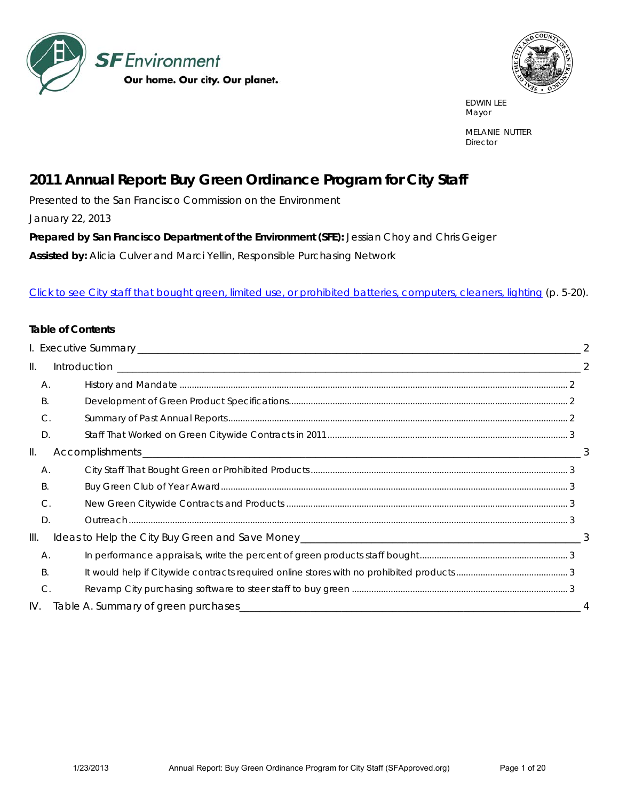



 EDWIN LEE Mayor and the contract of the contract of the contract of the contract of the contract of the contract of the contract of the contract of the contract of the contract of the contract of the contract of the contract of the

> MELANIE NUTTER **Director**

# *2011 Annual Report: Buy Green Ordinance Program for City Staff*

Presented to the San Francisco Commission on the Environment

January 22, 2013

Prepared by San Francisco Department of the Environment (SFE): Jessian Choy and Chris Geiger

**Assisted by:** Alicia Culver and Marci Yellin, Responsible Purchasing Network

#### [Click to see City staff that bought green, limited use, or prohibited batteries, computers, cleaners, lighting \(p. 5-20\).](#page-4-0)

#### **Table of Contents**

| $\mathbb{H}$ . |                |  |
|----------------|----------------|--|
|                | А.             |  |
|                | Β.             |  |
|                | C.             |  |
|                | D.             |  |
| Ш.             |                |  |
|                | А.             |  |
|                | Β.             |  |
|                | $\mathcal{C}$  |  |
|                | D.             |  |
| III.           |                |  |
|                | А.             |  |
|                | Β.             |  |
|                | $\mathsf{C}$ . |  |
| IV.            |                |  |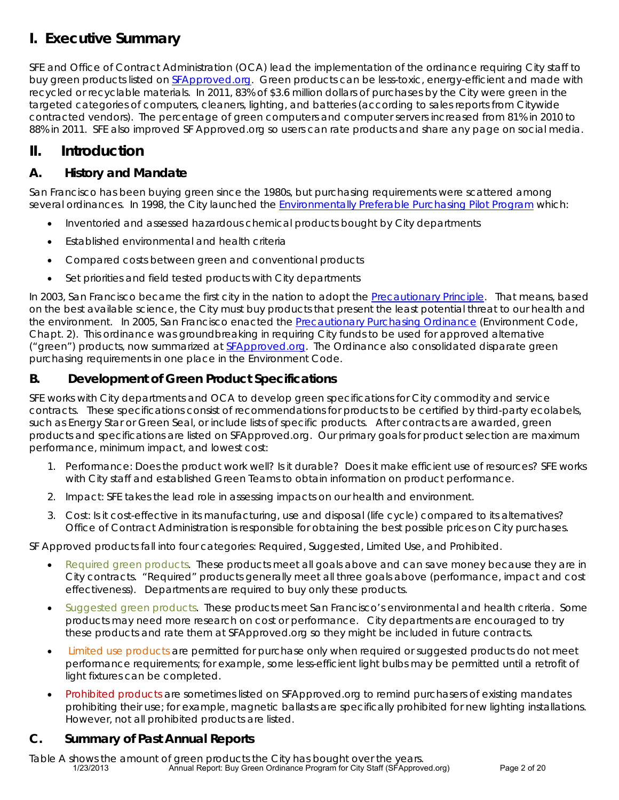# **I. Executive Summary**

SFE and Office of Contract Administration (OCA) lead the implementation of the ordinance requiring City staff to buy green products listed on SFApproved.org. Green products can be less-toxic, energy-efficient and made with recycled or recyclable materials. In 2011, 83% of \$3.6 million dollars of purchases by the City were green in the targeted categories of computers, cleaners, lighting, and batteries (according to sales reports from Citywide contracted vendors). The percentage of green computers and computer servers increased from 81% in 2010 to 88% in 2011. SFE also improved SF Approved.org so users can rate products and share any page on social media.

# **II. Introduction**

## *A. History and Mandate*

San Francisco has been buying green since the 1980s, but purchasing requirements were scattered among several ordinances. In 1998, the City launched the Environmentally Preferable Purchasing Pilot Program which:

- Inventoried and assessed hazardous chemical products bought by City departments
- Established environmental and health criteria
- Compared costs between green and conventional products
- Set priorities and field tested products with City departments

In 2003, San Francisco became the first city in the nation to adopt the Precautionary Principle. That means, based on the best available science, the City must buy products that present the least potential threat to our health and the environment. In 2005, San Francisco enacted the Precautionary Purchasing Ordinance (Environment Code, Chapt. 2). This ordinance was groundbreaking in requiring City funds to be used for approved alternative ("green") products, now summarized at SFApproved.org. The Ordinance also consolidated disparate green purchasing requirements in one place in the Environment Code.

### *B. Development of Green Product Specifications*

SFE works with City departments and OCA to develop green specifications for City commodity and service contracts. These specifications consist of recommendations for products to be certified by third-party ecolabels, such as Energy Star or Green Seal, or include lists of specific products. After contracts are awarded, green products and specifications are listed on SFApproved.org. Our primary goals for product selection are maximum performance, minimum impact, and lowest cost:

- 1. Performance: Does the product work well? Is it durable? Does it make efficient use of resources? SFE works with City staff and established Green Teams to obtain information on product performance.
- 2. Impact: SFE takes the lead role in assessing impacts on our health and environment.
- 3. Cost: Is it cost-effective in its manufacturing, use and disposal (life cycle) compared to its alternatives? Office of Contract Administration is responsible for obtaining the best possible prices on City purchases.

SF Approved products fall into four categories: Required, Suggested, Limited Use, and Prohibited.

- Required green products. These products meet all goals above and can save money because they are in City contracts. "Required" products generally meet all three goals above (performance, impact and cost effectiveness). Departments are required to buy *only* these products.
- Suggested green products. These products meet San Francisco's environmental and health criteria. Some products may need more research on cost or performance. City departments are encouraged to try these products and rate them at SFApproved.org so they might be included in future contracts.
- Limited use products are permitted for purchase only when required or suggested products do not meet performance requirements; for example, some less-efficient light bulbs may be permitted until a retrofit of light fixtures can be completed.
- Prohibited products are sometimes listed on SFApproved.org to remind purchasers of existing mandates prohibiting their use; for example, magnetic ballasts are specifically prohibited for new lighting installations. However, not all prohibited products are listed.

### *C. Summary of Past Annual Reports*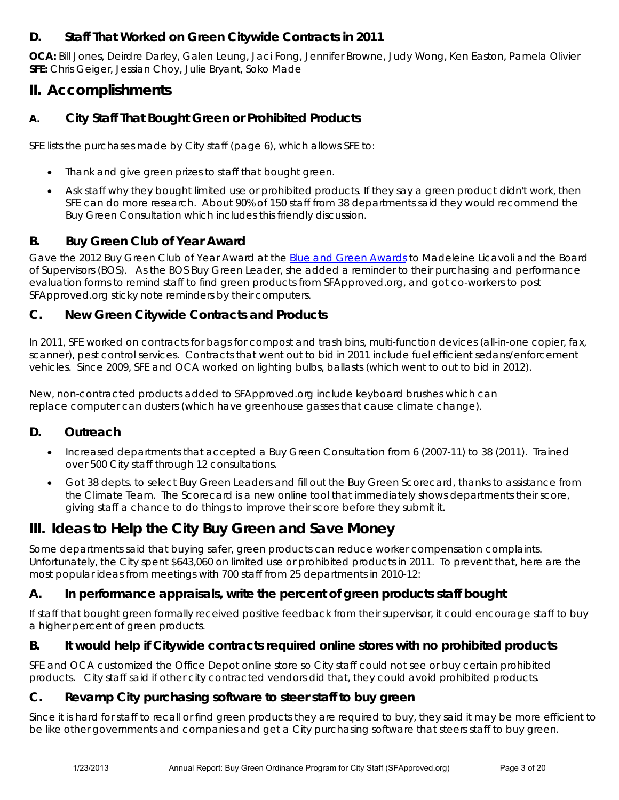### *D. Staff That Worked on Green Citywide Contracts in 2011*

**OCA:** Bill Jones, Deirdre Darley, Galen Leung, Jaci Fong, Jennifer Browne, Judy Wong, Ken Easton, Pamela Olivier **SFE:** Chris Geiger, Jessian Choy, Julie Bryant, Soko Made

# **II. Accomplishments**

### *A. City Staff That Bought Green or Prohibited Products*

SFE lists the purchases made by City staff (page 6), which allows SFE to:

- Thank and give green prizes to staff that bought green.
- Ask staff why they bought limited use or prohibited products. If they say a green product didn't work, then SFE can do more research. About 90% of 150 staff from 38 departments said they would recommend the Buy Green Consultation which includes this friendly discussion.

#### *B. Buy Green Club of Year Award*

Gave the 2012 Buy Green Club of Year Award at the Blue and Green Awards to Madeleine Licavoli and the Board of Supervisors (BOS). As the BOS Buy Green Leader, she added a reminder to their purchasing and performance evaluation forms to remind staff to find green products from SFApproved.org, and got co-workers to post SFApproved.org sticky note reminders by their computers.

#### *C. New Green Citywide Contracts and Products*

In 2011, SFE worked on contracts for bags for compost and trash bins, multi-function devices (all-in-one copier, fax, scanner), pest control services. Contracts that went out to bid in 2011 include fuel efficient sedans/enforcement vehicles. Since 2009, SFE and OCA worked on lighting bulbs, ballasts (which went to out to bid in 2012).

New, non-contracted products added to SFApproved.org include keyboard brushes which can replace computer can dusters (which have greenhouse gasses that cause climate change).

#### *D. Outreach*

- Increased departments that accepted a Buy Green Consultation from 6 (2007-11) to 38 (2011). Trained over 500 City staff through 12 consultations.
- Got 38 depts. to select Buy Green Leaders and fill out the Buy Green Scorecard, thanks to assistance from the Climate Team. The Scorecard is a new online tool that immediately shows departments their score, giving staff a chance to do things to improve their score before they submit it.

# **III. Ideas to Help the City Buy Green and Save Money**

Some departments said that buying safer, green products can reduce worker compensation complaints. Unfortunately, the City spent \$643,060 on limited use or prohibited products in 2011. To prevent that, here are the most popular ideas from meetings with 700 staff from 25 departments in 2010-12:

#### *A. In performance appraisals, write the percent of green products staff bought*

If staff that bought green formally received positive feedback from their supervisor, it could encourage staff to buy a higher percent of green products.

### *B. It would help if Citywide contracts required online stores with no prohibited products*

SFE and OCA customized the Office Depot online store so City staff could not see or buy certain prohibited products. City staff said if other city contracted vendors did that, they could avoid prohibited products.

#### *C. Revamp City purchasing software to steer staff to buy green*

Since it is hard for staff to recall or find green products they are required to buy, they said it may be more efficient to be like other governments and companies and get a City purchasing software that steers staff to buy green.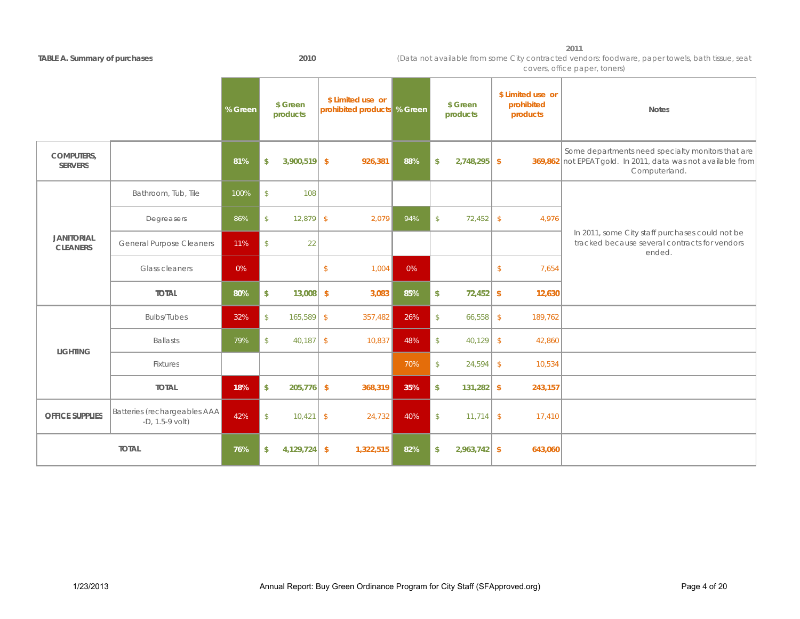**2011** 

#### **TABLE A S mmar of p rchases 2010**

(Data not available from some City contracted vendors: foodware, paper towels, bath tissue, seat covers, office paper, toners)

|                                      |                                                   | % Green | \$ Green<br>products          | \$ Limited use or<br>prohibited products % Green |     |               | \$ Green<br>products | \$ Limited use or<br>prohibited<br>products | <b>Notes</b>                                                                                                                       |
|--------------------------------------|---------------------------------------------------|---------|-------------------------------|--------------------------------------------------|-----|---------------|----------------------|---------------------------------------------|------------------------------------------------------------------------------------------------------------------------------------|
| <b>COMPUTERS,</b><br><b>SERVERS</b>  |                                                   | 81%     | $3,900,519$ \$<br>\$          | 926,381                                          | 88% | \$            | $2,748,295$ \$       |                                             | Some departments need specialty monitors that are<br>369,862 not EPEAT gold. In 2011, data was not available from<br>Computerland. |
|                                      | Bathroom, Tub, Tile                               | 100%    | $\mathsf{\$}$<br>108          |                                                  |     |               |                      |                                             |                                                                                                                                    |
|                                      | Degreasers                                        | 86%     | $\mathsf{\$}$<br>$12,879$ \$  | 2,079                                            | 94% | $\mathsf{\$}$ | 72,452               | $\sqrt{2}$<br>4,976                         |                                                                                                                                    |
| <b>JANITORIAL</b><br><b>CLEANERS</b> | <b>General Purpose Cleaners</b>                   | 11%     | $\sqrt[6]{\frac{1}{2}}$<br>22 |                                                  |     |               |                      |                                             | In 2011, some City staff purchases could not be<br>tracked because several contracts for vendors<br>ended.                         |
|                                      | Glass cleaners                                    | 0%      |                               | $\sqrt{2}$<br>1,004                              | 0%  |               |                      | $\mathsf{\$}$<br>7,654                      |                                                                                                                                    |
|                                      | <b>TOTAL</b>                                      | 80%     | $13,008$ \$<br>\$             | 3,083                                            | 85% | \$            | $72,452$ \$          | 12,630                                      |                                                                                                                                    |
|                                      | <b>Bulbs/Tubes</b>                                | 32%     | $\mathsf{\$}$<br>$165,589$ \$ | 357,482                                          | 26% | $\mathsf{\$}$ | 66,558               | $\sqrt{2}$<br>189,762                       |                                                                                                                                    |
| <b>LIGHTING</b>                      | <b>Ballasts</b>                                   | 79%     | $40,187$ \$<br>$\mathsf{\$}$  | 10,837                                           | 48% | $\mathcal{S}$ | 40,129               | $\sqrt{2}$<br>42,860                        |                                                                                                                                    |
|                                      | Fixtures                                          |         |                               |                                                  | 70% | $\mathsf{\$}$ | 24,594               | $\sqrt{2}$<br>10,534                        |                                                                                                                                    |
|                                      | <b>TOTAL</b>                                      | 18%     | \$<br>$205,776$ \$            | 368,319                                          | 35% | $\mathsf{\$}$ | 131,282              | \$<br>243,157                               |                                                                                                                                    |
| <b>OFFICE SUPPLIES</b>               | Batteries (rechargeables AAA<br>$-D, 1.5-9$ volt) | 42%     | $\mathbb{S}$<br>$10,421$ \$   | 24,732                                           | 40% | $\sqrt{2}$    | 11,714               | $\sqrt{2}$<br>17,410                        |                                                                                                                                    |
| <b>TOTAL</b>                         |                                                   | 76%     | $4,129,724$ \$<br>\$          | 1,322,515                                        | 82% | \$            | $2,963,742$ \$       | 643,060                                     |                                                                                                                                    |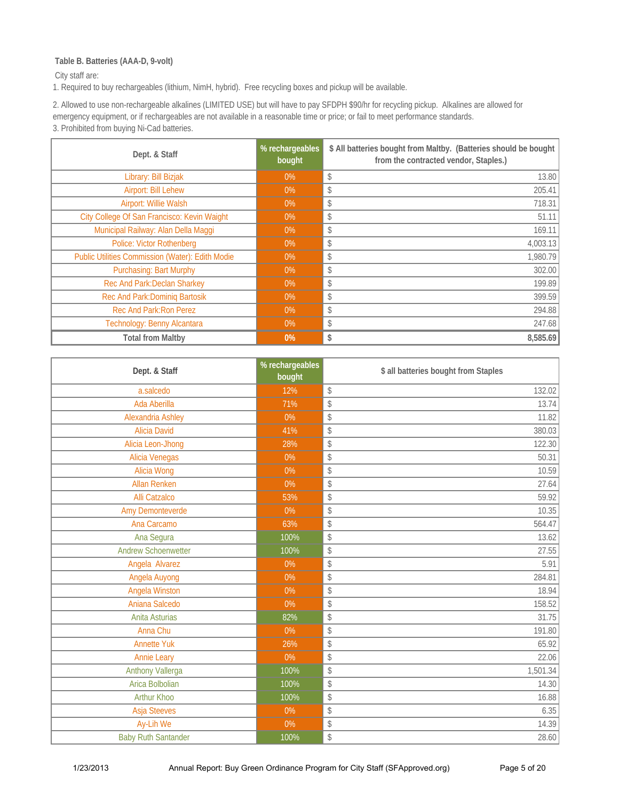#### <span id="page-4-0"></span> **Table B. Batteries (AAA-D, 9-volt)**

City staff are:

1. Required to buy rechargeables (lithium, NimH, hybrid). Free recycling boxes and pickup will be available.

[2. Allowed to use non-rechargeable alkalines \(LIMITED USE\) but will have to pay SFDPH \\$90/hr for recycling pickup. Alkalines are allowed for](#page--1-0)  emergency equipment, or if rechargeables are not available in a reasonable time or price; or fail to meet performance standards. 3. Prohibited from buying Ni-Cad batteries.

| Dept. & Staff                                           | % rechargeables<br>bought | \$ All batteries bought from Maltby. (Batteries should be bought<br>from the contracted vendor, Staples.) |
|---------------------------------------------------------|---------------------------|-----------------------------------------------------------------------------------------------------------|
| Library: Bill Bizjak                                    | $0\%$                     | 13.80<br>\$                                                                                               |
| Airport: Bill Lehew                                     | $0\%$                     | 205.41<br>\$                                                                                              |
| Airport: Willie Walsh                                   | $0\%$                     | 718.31<br>\$                                                                                              |
| City College Of San Francisco: Kevin Waight             | $0\%$                     | 51.11<br>\$                                                                                               |
| Municipal Railway: Alan Della Maggi                     | $0\%$                     | 169.11<br>\$                                                                                              |
| <b>Police: Victor Rothenberg</b>                        | $0\%$                     | 4,003.13<br>\$                                                                                            |
| <b>Public Utilities Commission (Water): Edith Modie</b> | $0\%$                     | 1,980.79<br>\$                                                                                            |
| <b>Purchasing: Bart Murphy</b>                          | $0\%$                     | 302.00<br>\$                                                                                              |
| Rec And Park: Declan Sharkey                            | $0\%$                     | 199.89<br>\$                                                                                              |
| Rec And Park: Dominiq Bartosik                          | $0\%$                     | 399.59<br>\$                                                                                              |
| Rec And Park: Ron Perez                                 | $0\%$                     | 294.88<br>\$                                                                                              |
| Technology: Benny Alcantara                             | $0\%$                     | 247.68<br>\$                                                                                              |
| <b>Total from Maltby</b>                                | $0\%$                     | 8,585.69<br>\$                                                                                            |

| Dept. & Staff              | % rechargeables<br>bought | \$ all batteries bought from Staples |
|----------------------------|---------------------------|--------------------------------------|
| a.salcedo                  | 12%                       | \$<br>132.02                         |
| Ada Aberilla               | 71%                       | \$<br>13.74                          |
| Alexandria Ashley          | $0\%$                     | \$<br>11.82                          |
| <b>Alicia David</b>        | 41%                       | \$<br>380.03                         |
| Alicia Leon-Jhong          | 28%                       | 122.30<br>\$                         |
| Alicia Venegas             | $0\%$                     | \$<br>50.31                          |
| Alicia Wong                | 0%                        | \$<br>10.59                          |
| <b>Allan Renken</b>        | 0%                        | \$<br>27.64                          |
| <b>Alli Catzalco</b>       | 53%                       | \$<br>59.92                          |
| Amy Demonteverde           | $0\%$                     | 10.35<br>\$                          |
| Ana Carcamo                | 63%                       | \$<br>564.47                         |
| Ana Segura                 | 100%                      | \$<br>13.62                          |
| <b>Andrew Schoenwetter</b> | 100%                      | \$<br>27.55                          |
| Angela Alvarez             | 0%                        | \$<br>5.91                           |
| Angela Auyong              | $0\%$                     | \$<br>284.81                         |
| Angela Winston             | $0\%$                     | \$<br>18.94                          |
| Aniana Salcedo             | $0\%$                     | 158.52<br>\$                         |
| Anita Asturias             | 82%                       | \$<br>31.75                          |
| Anna Chu                   | $0\%$                     | \$<br>191.80                         |
| <b>Annette Yuk</b>         | 26%                       | 65.92<br>\$                          |
| <b>Annie Leary</b>         | 0%                        | \$<br>22.06                          |
| Anthony Vallerga           | 100%                      | 1,501.34<br>\$                       |
| Arica Bolbolian            | 100%                      | \$<br>14.30                          |
| Arthur Khoo                | 100%                      | \$<br>16.88                          |
| <b>Asja Steeves</b>        | $0\%$                     | \$<br>6.35                           |
| Ay-Lih We                  | 0%                        | \$<br>14.39                          |
| <b>Baby Ruth Santander</b> | 100%                      | 28.60<br>\$                          |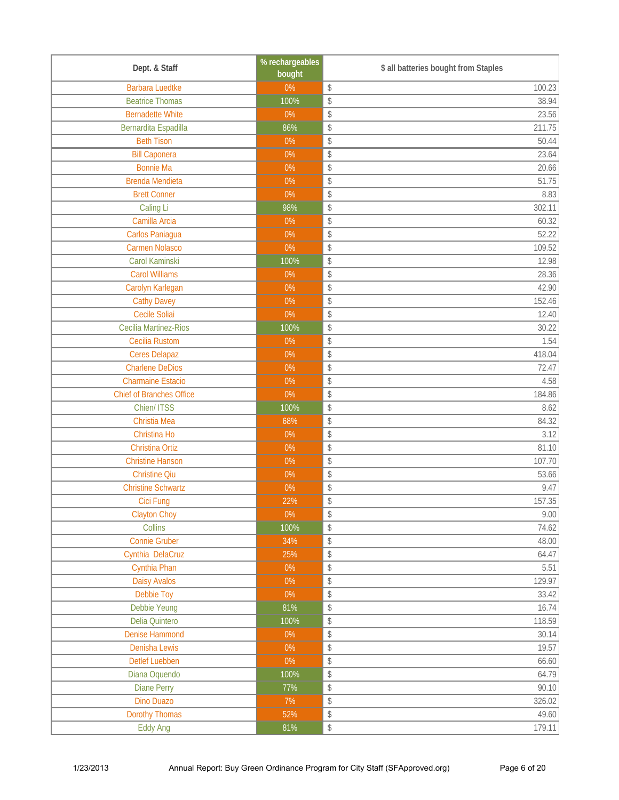| Dept. & Staff                   | % rechargeables<br>bought | \$ all batteries bought from Staples                              |
|---------------------------------|---------------------------|-------------------------------------------------------------------|
| <b>Barbara Luedtke</b>          | $0\%$                     | 100.23<br>\$                                                      |
| <b>Beatrice Thomas</b>          | 100%                      | \$<br>38.94                                                       |
| <b>Bernadette White</b>         | $0\%$                     | \$<br>23.56                                                       |
| Bernardita Espadilla            | 86%                       | $\updownarrow$<br>211.75                                          |
| <b>Beth Tison</b>               | $0\%$                     | $\boldsymbol{\mathsf{\$}}$<br>50.44                               |
| <b>Bill Caponera</b>            | $0\%$                     | $\boldsymbol{\mathsf{\$}}$<br>23.64                               |
| <b>Bonnie Ma</b>                | $0\%$                     | \$<br>20.66                                                       |
| <b>Brenda Mendieta</b>          | $0\%$                     | \$<br>51.75                                                       |
| <b>Brett Conner</b>             | 0%                        | $\updownarrow$<br>8.83                                            |
| Caling Li                       | 98%                       | $\boldsymbol{\mathsf{\$}}$<br>302.11                              |
| Camilla Arcia                   | $0\%$                     | 60.32<br>\$                                                       |
| Carlos Paniagua                 | $0\%$                     | \$<br>52.22                                                       |
| <b>Carmen Nolasco</b>           | $0\%$                     | \$<br>109.52                                                      |
| Carol Kaminski                  | 100%                      | $\boldsymbol{\mathsf{\$}}$<br>12.98                               |
| <b>Carol Williams</b>           | $0\%$                     | $\boldsymbol{\mathsf{\$}}$<br>28.36                               |
| Carolyn Karlegan                | $0\%$                     | \$<br>42.90                                                       |
| <b>Cathy Davey</b>              | $0\%$                     | \$<br>152.46                                                      |
| Cecile Soliai                   | $0\%$                     | $\updownarrow$<br>12.40                                           |
| <b>Cecilia Martinez-Rios</b>    | 100%                      | $\boldsymbol{\mathsf{\$}}$<br>30.22                               |
| <b>Cecilia Rustom</b>           | $0\%$                     | $\boldsymbol{\mathsf{\$}}$<br>1.54                                |
| <b>Ceres Delapaz</b>            | $0\%$                     | \$<br>418.04                                                      |
| <b>Charlene DeDios</b>          | $0\%$                     | \$<br>72.47                                                       |
| <b>Charmaine Estacio</b>        | $0\%$                     | 4.58<br>\$                                                        |
| <b>Chief of Branches Office</b> | 0%                        | $\updownarrow$<br>184.86                                          |
| Chien/ ITSS                     | 100%                      | $\boldsymbol{\mathsf{\$}}$<br>8.62                                |
| Christia Mea                    | 68%                       | $\boldsymbol{\mathsf{\$}}$<br>84.32                               |
| Christina Ho                    | $0\%$                     | 3.12<br>\$                                                        |
| Christina Ortiz                 | $0\%$                     | $\updownarrow$<br>81.10                                           |
| <b>Christine Hanson</b>         | $0\%$                     | $\updownarrow$<br>107.70                                          |
| <b>Christine Qiu</b>            | $0\%$                     | $\,$<br>53.66                                                     |
| <b>Christine Schwartz</b>       | $0\%$                     | \$<br>9.47                                                        |
| Cici Fung                       | 22%                       | 157.35<br>$\updownarrow$                                          |
| <b>Clayton Choy</b>             | $0\%$                     | 9.00<br>$\updownarrow$                                            |
| Collins                         | 100%                      | \$<br>74.62                                                       |
| <b>Connie Gruber</b>            | 34%                       | $\, \, \raisebox{-1.5pt}{\rlap{$\scriptstyle\circ$}}\,$<br>48.00  |
| Cynthia DelaCruz                | 25%                       | 64.47<br>$\, \, \raisebox{-1.5pt}{\rlap{$\scriptstyle\circ$}}\,$  |
| Cynthia Phan                    | $0\%$                     | 5.51<br>$\,$                                                      |
| <b>Daisy Avalos</b>             | $0\%$                     | 129.97<br>$\boldsymbol{\mathsf{\$}}$                              |
| Debbie Toy                      | $0\%$                     | $\boldsymbol{\mathsf{\$}}$<br>33.42                               |
| Debbie Yeung                    | 81%                       | $\, \, \raisebox{-1.5pt}{\rlap{$\scriptstyle\circ$}}\,$<br>16.74  |
| Delia Quintero                  | 100%                      | $\, \, \raisebox{-1.5pt}{\rlap{$\scriptstyle\circ$}}\,$<br>118.59 |
| <b>Denise Hammond</b>           | $0\%$                     | $\, \, \raisebox{-1.5pt}{\rlap{$\scriptstyle\circ$}}\,$<br>30.14  |
| Denisha Lewis                   | $0\%$                     | $\boldsymbol{\mathsf{\$}}$<br>19.57                               |
| <b>Detlef Luebben</b>           | $0\%$                     | $\boldsymbol{\mathsf{\$}}$<br>66.60                               |
| Diana Oquendo                   | 100%                      | $\, \, \raisebox{-1.5pt}{\rlap{$\scriptstyle\circ$}}\,$<br>64.79  |
| <b>Diane Perry</b>              | 77%                       | $\, \, \raisebox{-1.5pt}{\rlap{$\scriptstyle\circ$}}\,$<br>90.10  |
| <b>Dino Duazo</b>               | 7%                        | $\, \, \raisebox{-1.5pt}{\rlap{$\scriptstyle\circ$}}\,$<br>326.02 |
| <b>Dorothy Thomas</b>           | 52%                       | $\,$<br>49.60                                                     |
| <b>Eddy Ang</b>                 | 81%                       | $\, \, \raisebox{-1.5pt}{\ensuremath{\circ}}$<br>179.11           |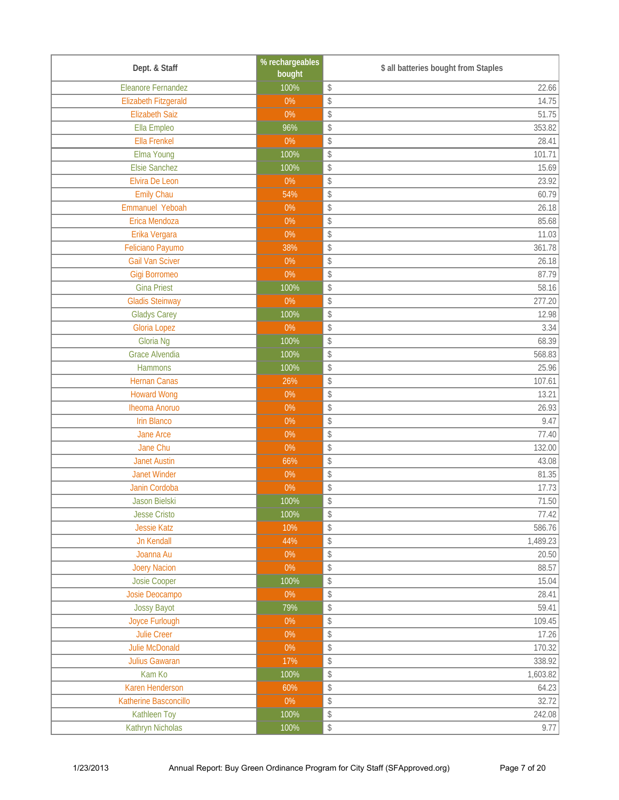| Dept. & Staff               | % rechargeables<br>bought | \$ all batteries bought from Staples                                |
|-----------------------------|---------------------------|---------------------------------------------------------------------|
| <b>Eleanore Fernandez</b>   | 100%                      | $\boldsymbol{\mathsf{\$}}$<br>22.66                                 |
| <b>Elizabeth Fitzgerald</b> | 0%                        | 14.75<br>\$                                                         |
| <b>Elizabeth Saiz</b>       | $0\%$                     | $\boldsymbol{\mathsf{\$}}$<br>51.75                                 |
| Ella Empleo                 | 96%                       | $\boldsymbol{\mathsf{\$}}$<br>353.82                                |
| <b>Ella Frenkel</b>         | $0\%$                     | $\boldsymbol{\mathsf{\$}}$<br>28.41                                 |
| Elma Young                  | 100%                      | $\boldsymbol{\mathsf{\$}}$<br>101.71                                |
| <b>Elsie Sanchez</b>        | 100%                      | 15.69<br>$\boldsymbol{\mathsf{\$}}$                                 |
| Elvira De Leon              | $0\%$                     | $\boldsymbol{\mathsf{\$}}$<br>23.92                                 |
| <b>Emily Chau</b>           | 54%                       | $\boldsymbol{\mathsf{\$}}$<br>60.79                                 |
| Emmanuel Yeboah             | $0\%$                     | $\,$<br>26.18                                                       |
| Erica Mendoza               | $0\%$                     | 85.68<br>$\,$                                                       |
| Erika Vergara               | $0\%$                     | 11.03<br>\$                                                         |
| Feliciano Payumo            | 38%                       | $\boldsymbol{\mathsf{\$}}$<br>361.78                                |
| <b>Gail Van Sciver</b>      | $0\%$                     | $\boldsymbol{\mathsf{\$}}$<br>26.18                                 |
| <b>Gigi Borromeo</b>        | $0\%$                     | $\boldsymbol{\mathsf{\$}}$<br>87.79                                 |
| <b>Gina Priest</b>          | 100%                      | $\boldsymbol{\mathsf{\$}}$<br>58.16                                 |
| Gladis Steinway             | 0%                        | 277.20<br>$\boldsymbol{\mathsf{\$}}$                                |
| <b>Gladys Carey</b>         | 100%                      | $\boldsymbol{\mathsf{\$}}$<br>12.98                                 |
| <b>Gloria Lopez</b>         | $0\%$                     | $\boldsymbol{\mathsf{\$}}$<br>3.34                                  |
| Gloria Ng                   | 100%                      | $\boldsymbol{\mathsf{\$}}$<br>68.39                                 |
| <b>Grace Alvendia</b>       | 100%                      | 568.83<br>$\boldsymbol{\mathsf{\$}}$                                |
| <b>Hammons</b>              | 100%                      | 25.96<br>$\boldsymbol{\mathsf{\$}}$                                 |
| <b>Hernan Canas</b>         | 26%                       | \$<br>107.61                                                        |
| <b>Howard Wong</b>          | $0\%$                     | $\boldsymbol{\mathsf{\$}}$<br>13.21                                 |
| <b>Iheoma Anoruo</b>        | $0\%$                     | $\boldsymbol{\mathsf{\$}}$<br>26.93                                 |
| <b>Irin Blanco</b>          | $0\%$                     | $\boldsymbol{\mathsf{\$}}$<br>9.47                                  |
| Jane Arce                   | $0\%$                     | 77.40<br>$\boldsymbol{\mathsf{\$}}$                                 |
| Jane Chu                    | $0\%$                     | $\boldsymbol{\mathsf{\$}}$<br>132.00                                |
| <b>Janet Austin</b>         | 66%                       | $\boldsymbol{\mathsf{\$}}$<br>43.08                                 |
| <b>Janet Winder</b>         | $0\%$                     | $\,$<br>81.35                                                       |
| Janin Cordoba               | $0\%$                     | $\updownarrow$<br>17.73                                             |
| Jason Bielski               | 100%                      | 71.50<br>\$                                                         |
| <b>Jesse Cristo</b>         | 100%                      | 77.42<br>$\,$                                                       |
| <b>Jessie Katz</b>          | 10%                       | $\,$<br>586.76                                                      |
| <b>Jn Kendall</b>           | 44%                       | 1,489.23<br>$\, \, \raisebox{-1.5pt}{\rlap{$\scriptstyle\circ$}}\,$ |
| Joanna Au                   | $0\%$                     | 20.50<br>$\,$                                                       |
| <b>Joery Nacion</b>         | $0\%$                     | 88.57<br>\$                                                         |
| Josie Cooper                | 100%                      | \$<br>15.04                                                         |
| Josie Deocampo              | $0\%$                     | $\boldsymbol{\mathsf{\$}}$<br>28.41                                 |
| Jossy Bayot                 | 79%                       | $\, \, \raisebox{-1.5pt}{\rlap{$\scriptstyle\circ$}}\,$<br>59.41    |
| Joyce Furlough              | $0\%$                     | \$<br>109.45                                                        |
| Julie Creer                 | $0\%$                     | 17.26<br>$\,$                                                       |
| Julie McDonald              | $0\%$                     | $\boldsymbol{\mathsf{\$}}$<br>170.32                                |
| Julius Gawaran              | 17%                       | $\boldsymbol{\mathsf{\$}}$<br>338.92                                |
| Kam Ko                      | 100%                      | 1,603.82<br>$\, \, \raisebox{-1.5pt}{\rlap{$\scriptstyle\circ$}}\,$ |
| Karen Henderson             | 60%                       | $\boldsymbol{\mathsf{\$}}$<br>64.23                                 |
| Katherine Basconcillo       | $0\%$                     | 32.72<br>$\boldsymbol{\mathsf{\$}}$                                 |
| Kathleen Toy                | 100%                      | $\boldsymbol{\mathsf{\$}}$<br>242.08                                |
| Kathryn Nicholas            | 100%                      | $\, \, \raisebox{-1.5pt}{\rlap{$\scriptstyle\circ$}}\,$<br>9.77     |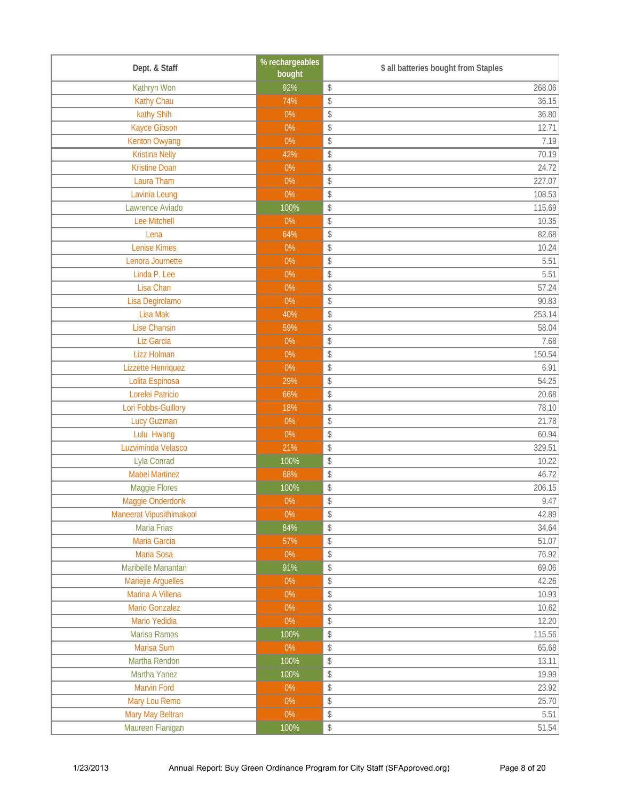| Dept. & Staff            | % rechargeables<br>bought | \$ all batteries bought from Staples                              |
|--------------------------|---------------------------|-------------------------------------------------------------------|
| Kathryn Won              | 92%                       | $\, \, \raisebox{-1.5pt}{\rlap{$\scriptstyle\circ$}}\,$<br>268.06 |
| <b>Kathy Chau</b>        | 74%                       | $\,$<br>36.15                                                     |
| kathy Shih               | $0\%$                     | $\boldsymbol{\mathsf{\$}}$<br>36.80                               |
| Kayce Gibson             | $0\%$                     | $\boldsymbol{\mathsf{\$}}$<br>12.71                               |
| <b>Kenton Owyang</b>     | $0\%$                     | $\, \, \raisebox{-1.5pt}{\rlap{$\scriptstyle\circ$}}\,$<br>7.19   |
| <b>Kristina Nelly</b>    | 42%                       | \$<br>70.19                                                       |
| <b>Kristine Doan</b>     | $0\%$                     | 24.72<br>$\,$                                                     |
| Laura Tham               | $0\%$                     | $\boldsymbol{\mathsf{\$}}$<br>227.07                              |
| Lavinia Leung            | $0\%$                     | 108.53<br>$\, \, \raisebox{-1.5pt}{\rlap{$\backslash$}}\,$        |
| Lawrence Aviado          | 100%                      | \$<br>115.69                                                      |
| Lee Mitchell             | $0\%$                     | 10.35<br>$\, \, \raisebox{-1.5pt}{\rlap{$\scriptstyle\circ$}}\,$  |
| Lena                     | 64%                       | $\,$<br>82.68                                                     |
| <b>Lenise Kimes</b>      | $0\%$                     | \$<br>10.24                                                       |
| Lenora Journette         | $0\%$                     | $\updownarrow$<br>5.51                                            |
| Linda P. Lee             | $0\%$                     | 5.51<br>$\, \, \raisebox{-1.5pt}{\rlap{$\scriptstyle\circ$}}\,$   |
| Lisa Chan                | $0\%$                     | \$<br>57.24                                                       |
| Lisa Degirolamo          | $0\%$                     | 90.83<br>$\,$                                                     |
| Lisa Mak                 | 40%                       | \$<br>253.14                                                      |
| <b>Lise Chansin</b>      | 59%                       | $\, \, \raisebox{-1.5pt}{\rlap{$\backslash$}}\,$<br>58.04         |
| Liz Garcia               | $0\%$                     | $\, \, \raisebox{-1.5pt}{\rlap{$\scriptstyle\circ$}}\,$<br>7.68   |
| <b>Lizz Holman</b>       | $0\%$                     | 150.54<br>$\, \, \raisebox{-1.5pt}{\rlap{$\backslash$}}\,$        |
| Lizzette Henriquez       | $0\%$                     | 6.91<br>$\,$                                                      |
| Lolita Espinosa          | 29%                       | 54.25<br>$\boldsymbol{\mathsf{\$}}$                               |
| Lorelei Patricio         | 66%                       | $\updownarrow$<br>20.68                                           |
| Lori Fobbs-Guillory      | 18%                       | $\, \, \raisebox{-1.5pt}{\rlap{$\scriptstyle\circ$}}\,$<br>78.10  |
| <b>Lucy Guzman</b>       | $0\%$                     | \$<br>21.78                                                       |
| Lulu Hwang               | $0\%$                     | $\mathsf{\$}$<br>60.94                                            |
| Luzviminda Velasco       | 21%                       | $\boldsymbol{\mathsf{\$}}$<br>329.51                              |
| Lyla Conrad              | 100%                      | \$<br>10.22                                                       |
| <b>Mabel Martinez</b>    | 68%                       | 46.72<br>$\, \, \raisebox{-1.5pt}{\ensuremath{\circ}}$            |
| Maggie Flores            | 100%                      | 206.15<br>$\, \, \raisebox{-1.5pt}{\rlap{$\backslash$}}\,$        |
| Maggie Onderdonk         | 0%                        | 9.47<br>$\boldsymbol{\mathsf{\$}}$                                |
| Maneerat Vipusithimakool | $0\%$                     | 42.89<br>$\, \, \raisebox{-1.5pt}{\rlap{$\backslash$}}\,$         |
| Maria Frias              | 84%                       | \$<br>34.64                                                       |
| Maria Garcia             | 57%                       | $\, \, \raisebox{-1.5pt}{\rlap{$\scriptstyle\circ$}}\,$<br>51.07  |
| Maria Sosa               | $0\%$                     | 76.92<br>$\, \, \raisebox{-1.5pt}{\rlap{$\scriptstyle\circ$}}\,$  |
| Maribelle Manantan       | 91%                       | $\,$<br>69.06                                                     |
| Mariejie Arguelles       | $0\%$                     | \$<br>42.26                                                       |
| Marina A Villena         | $0\%$                     | \$<br>10.93                                                       |
| Mario Gonzalez           | $0\%$                     | $\, \, \raisebox{-1.5pt}{\scriptsize{*}}$<br>10.62                |
| Mario Yedidia            | $0\%$                     | $\, \, \raisebox{-1.5pt}{\rlap{$\scriptstyle\circ$}}\,$<br>12.20  |
| Marisa Ramos             | 100%                      | $\,$<br>115.56                                                    |
| Marisa Sum               | $0\%$                     | \$<br>65.68                                                       |
| Martha Rendon            | 100%                      | \$<br>13.11                                                       |
| Martha Yanez             | 100%                      | $\, \, \raisebox{-1.5pt}{\scriptsize{*}}$<br>19.99                |
| Marvin Ford              | $0\%$                     | 23.92<br>$\, \, \raisebox{-1.5pt}{\scriptsize{*}}$                |
| Mary Lou Remo            | $0\%$                     | $\frac{1}{2}$<br>25.70                                            |
| Mary May Beltran         | $0\%$                     | \$<br>5.51                                                        |
| Maureen Flanigan         | 100%                      | $\, \, \raisebox{-1.5pt}{\rlap{$\scriptstyle\circ$}}\,$<br>51.54  |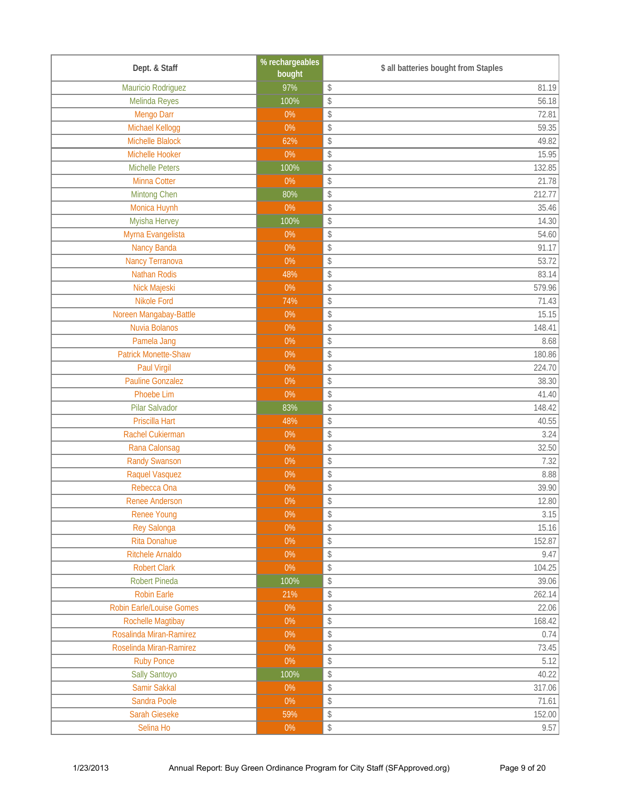| Dept. & Staff                   | % rechargeables<br>bought | \$ all batteries bought from Staples                             |
|---------------------------------|---------------------------|------------------------------------------------------------------|
| Mauricio Rodriguez              | 97%                       | 81.19<br>$\, \, \raisebox{-1.5pt}{\rlap{$\backslash$}}\,$        |
| Melinda Reyes                   | 100%                      | \$<br>56.18                                                      |
| Mengo Darr                      | $0\%$                     | \$<br>72.81                                                      |
| Michael Kellogg                 | $0\%$                     | \$<br>59.35                                                      |
| Michelle Blalock                | 62%                       | $\boldsymbol{\mathsf{\$}}$<br>49.82                              |
| Michelle Hooker                 | 0%                        | $\boldsymbol{\mathsf{\$}}$<br>15.95                              |
| <b>Michelle Peters</b>          | 100%                      | 132.85<br>$\,$                                                   |
| Minna Cotter                    | $0\%$                     | $\boldsymbol{\mathsf{\$}}$<br>21.78                              |
| Mintong Chen                    | 80%                       | $\boldsymbol{\mathsf{\$}}$<br>212.77                             |
| Monica Huynh                    | $0\%$                     | $\boldsymbol{\mathsf{\$}}$<br>35.46                              |
| Myisha Hervey                   | 100%                      | $\boldsymbol{\mathsf{\$}}$<br>14.30                              |
| Myrna Evangelista               | 0%                        | 54.60<br>\$                                                      |
| <b>Nancy Banda</b>              | $0\%$                     | \$<br>91.17                                                      |
| <b>Nancy Terranova</b>          | $0\%$                     | $\boldsymbol{\mathsf{\$}}$<br>53.72                              |
| <b>Nathan Rodis</b>             | 48%                       | $\boldsymbol{\mathsf{\$}}$<br>83.14                              |
| Nick Majeski                    | $0\%$                     | $\boldsymbol{\mathsf{\$}}$<br>579.96                             |
| <b>Nikole Ford</b>              | 74%                       | 71.43<br>\$                                                      |
| Noreen Mangabay-Battle          | $0\%$                     | \$<br>15.15                                                      |
| Nuvia Bolanos                   | $0\%$                     | $\boldsymbol{\mathsf{\$}}$<br>148.41                             |
| Pamela Jang                     | $0\%$                     | 8.68<br>$\,$                                                     |
| <b>Patrick Monette-Shaw</b>     | 0%                        | 180.86<br>$\,$                                                   |
| Paul Virgil                     | $0\%$                     | 224.70<br>\$                                                     |
| <b>Pauline Gonzalez</b>         | $0\%$                     | \$<br>38.30                                                      |
| <b>Phoebe Lim</b>               | $0\%$                     | $\boldsymbol{\mathsf{\$}}$<br>41.40                              |
| Pilar Salvador                  | 83%                       | \$<br>148.42                                                     |
| Priscilla Hart                  | 48%                       | 40.55<br>$\, \, \raisebox{-1.5pt}{\rlap{$\scriptstyle\circ$}}\,$ |
| Rachel Cukierman                | $0\%$                     | \$<br>3.24                                                       |
| Rana Calonsag                   | $0\%$                     | \$<br>32.50                                                      |
| <b>Randy Swanson</b>            | $0\%$                     | $\boldsymbol{\mathsf{\$}}$<br>7.32                               |
| Raquel Vasquez                  | $0\%$                     | 8.88<br>$\,$                                                     |
| Rebecca Ona                     | $0\%$                     | $\,$<br>39.90                                                    |
| <b>Renee Anderson</b>           | $0\%$                     | $\boldsymbol{\mathsf{\$}}$<br>12.80                              |
| <b>Renee Young</b>              | $0\%$                     | 3.15<br>$\,$                                                     |
| <b>Rey Salonga</b>              | $0\%$                     | \$<br>15.16                                                      |
| <b>Rita Donahue</b>             | $0\%$                     | 152.87<br>$\, \, \raisebox{-1.5pt}{\scriptsize{*}}$              |
| Ritchele Arnaldo                | $0\%$                     | \$<br>9.47                                                       |
| <b>Robert Clark</b>             | $0\%$                     | 104.25<br>\$                                                     |
| Robert Pineda                   | 100%                      | \$<br>39.06                                                      |
| <b>Robin Earle</b>              | 21%                       | \$<br>262.14                                                     |
| <b>Robin Earle/Louise Gomes</b> | $0\%$                     | $\, \, \raisebox{-1.5pt}{\scriptsize{*}}$<br>22.06               |
| <b>Rochelle Magtibay</b>        | $0\%$                     | $\, \, \raisebox{-1.5pt}{\scriptsize{*}}$<br>168.42              |
| Rosalinda Miran-Ramirez         | $0\%$                     | $\,$<br>0.74                                                     |
| Roselinda Miran-Ramirez         | $0\%$                     | $\,$<br>73.45                                                    |
| <b>Ruby Ponce</b>               | 0%                        | \$<br>5.12                                                       |
| Sally Santoyo                   | 100%                      | $\, \, \raisebox{-1.5pt}{\scriptsize{*}}$<br>40.22               |
| Samir Sakkal                    | $0\%$                     | $\, \, \raisebox{-1.5pt}{\scriptsize{*}}$<br>317.06              |
| Sandra Poole                    | $0\%$                     | $\,$<br>71.61                                                    |
| Sarah Gieseke                   | 59%                       | $\,$<br>152.00                                                   |
| Selina Ho                       | $0\%$                     | $\, \, \raisebox{-1.5pt}{\rlap{$\scriptstyle\circ$}}\,$<br>9.57  |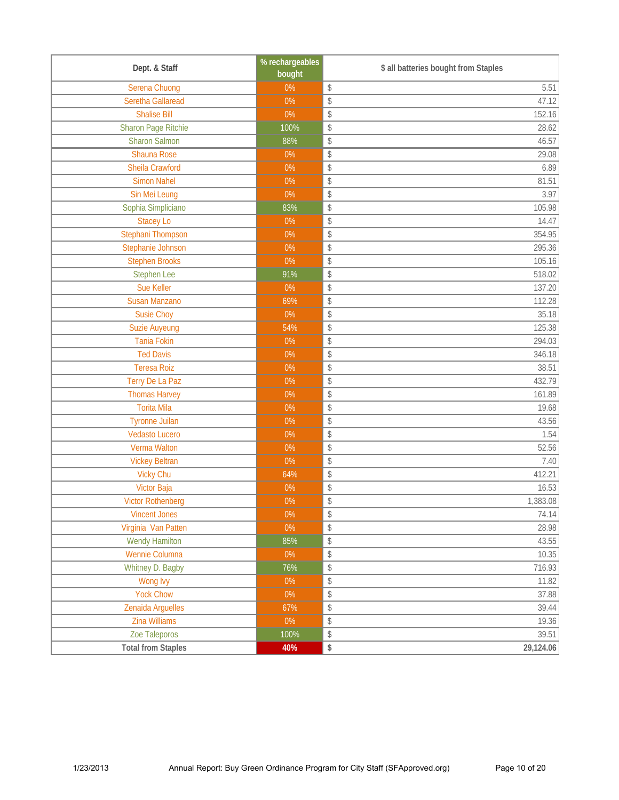| Dept. & Staff             | % rechargeables<br>bought | \$ all batteries bought from Staples |
|---------------------------|---------------------------|--------------------------------------|
| Serena Chuong             | $0\%$                     | \$<br>5.51                           |
| Seretha Gallaread         | $0\%$                     | \$<br>47.12                          |
| <b>Shalise Bill</b>       | $0\%$                     | \$<br>152.16                         |
| Sharon Page Ritchie       | 100%                      | \$<br>28.62                          |
| <b>Sharon Salmon</b>      | 88%                       | 46.57<br>\$                          |
| Shauna Rose               | $0\%$                     | \$<br>29.08                          |
| Sheila Crawford           | $0\%$                     | \$<br>6.89                           |
| <b>Simon Nahel</b>        | $0\%$                     | \$<br>81.51                          |
| Sin Mei Leung             | 0%                        | \$<br>3.97                           |
| Sophia Simpliciano        | 83%                       | \$<br>105.98                         |
| <b>Stacey Lo</b>          | $0\%$                     | 14.47<br>\$                          |
| Stephani Thompson         | $0\%$                     | 354.95<br>\$                         |
| Stephanie Johnson         | $0\%$                     | 295.36<br>\$                         |
| <b>Stephen Brooks</b>     | $0\%$                     | \$<br>105.16                         |
| <b>Stephen Lee</b>        | 91%                       | \$<br>518.02                         |
| Sue Keller                | $0\%$                     | \$<br>137.20                         |
| <b>Susan Manzano</b>      | 69%                       | 112.28<br>\$                         |
| <b>Susie Choy</b>         | 0%                        | \$<br>35.18                          |
| <b>Suzie Auyeung</b>      | 54%                       | \$<br>125.38                         |
| <b>Tania Fokin</b>        | $0\%$                     | \$<br>294.03                         |
| <b>Ted Davis</b>          | $0\%$                     | 346.18<br>\$                         |
| <b>Teresa Roiz</b>        | $0\%$                     | 38.51<br>\$                          |
| Terry De La Paz           | $0\%$                     | \$<br>432.79                         |
| <b>Thomas Harvey</b>      | $0\%$                     | \$<br>161.89                         |
| <b>Torita Mila</b>        | $0\%$                     | \$<br>19.68                          |
| <b>Tyronne Juilan</b>     | $0\%$                     | \$<br>43.56                          |
| <b>Vedasto Lucero</b>     | $0\%$                     | 1.54<br>\$                           |
| Verma Walton              | $0\%$                     | \$<br>52.56                          |
| <b>Vickey Beltran</b>     | $0\%$                     | \$<br>7.40                           |
| <b>Vicky Chu</b>          | 64%                       | \$<br>412.21                         |
| <b>Victor Baja</b>        | $0\%$                     | \$<br>16.53                          |
| <b>Victor Rothenberg</b>  | $0\%$                     | \$<br>1,383.08                       |
| <b>Vincent Jones</b>      | $0\%$                     | \$<br>74.14                          |
| Virginia Van Patten       | $0\%$                     | \$<br>28.98                          |
| <b>Wendy Hamilton</b>     | 85%                       | 43.55<br>\$                          |
| Wennie Columna            | $0\%$                     | \$<br>10.35                          |
| Whitney D. Bagby          | 76%                       | \$<br>716.93                         |
| Wong Ivy                  | $0\%$                     | \$<br>11.82                          |
| <b>Yock Chow</b>          | $0\%$                     | \$<br>37.88                          |
| Zenaida Arguelles         | 67%                       | \$<br>39.44                          |
| <b>Zina Williams</b>      | $0\%$                     | \$<br>19.36                          |
| Zoe Taleporos             | 100%                      | \$<br>39.51                          |
| <b>Total from Staples</b> | 40%                       | \$<br>29,124.06                      |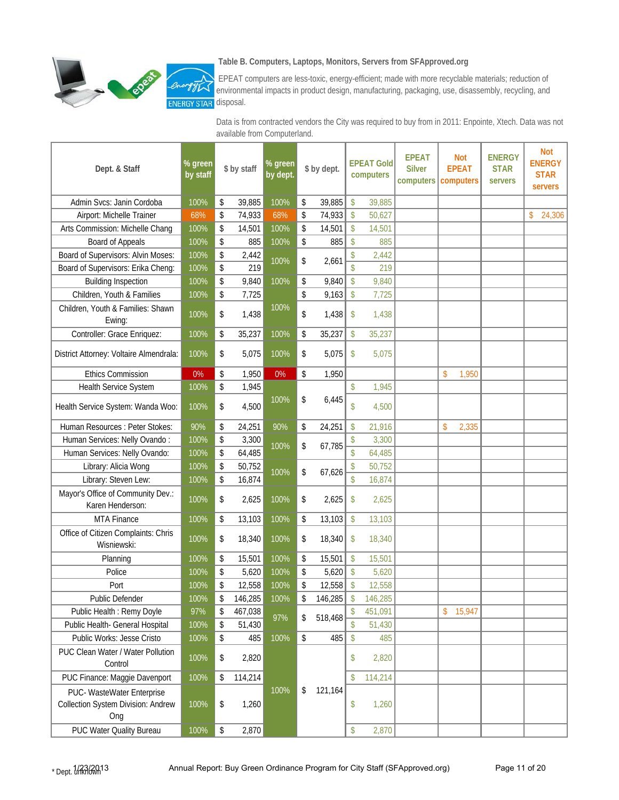

#### **Table B. Computers, Laptops, Monitors, Servers from SFApproved.org**

 EPEAT computers are less-toxic, energy-efficient; made with more recyclable materials; reduction of environmental impacts in product design, manufacturing, packaging, use, disassembly, recycling, and **STAR** disposal.

Data is from contracted vendors the City was required to buy from in 2011: Enpointe, Xtech. Data was not available from Computerland.

| Dept. & Staff                                                           | % green<br>by staff |      | \$ by staff | % green<br>by dept. | \$ by dept.   |                                 | <b>EPEAT Gold</b><br>computers | <b>EPEAT</b><br><b>Silver</b> | <b>Not</b><br><b>EPEAT</b><br>computers   computers | <b>ENERGY</b><br><b>STAR</b><br>servers | <b>Not</b><br><b>ENERGY</b><br><b>STAR</b><br><b>servers</b> |
|-------------------------------------------------------------------------|---------------------|------|-------------|---------------------|---------------|---------------------------------|--------------------------------|-------------------------------|-----------------------------------------------------|-----------------------------------------|--------------------------------------------------------------|
| Admin Svcs: Janin Cordoba                                               | 100%                | \$   | 39,885      | 100%                | \$<br>39,885  | \$                              | 39,885                         |                               |                                                     |                                         |                                                              |
| Airport: Michelle Trainer                                               | 68%                 | \$   | 74,933      | 68%                 | \$<br>74,933  | $\mathsf{\$}$                   | 50,627                         |                               |                                                     |                                         | \$<br>24,306                                                 |
| Arts Commission: Michelle Chang                                         | 100%                | \$   | 14,501      | 100%                | \$<br>14,501  | \$                              | 14,501                         |                               |                                                     |                                         |                                                              |
| Board of Appeals                                                        | 100%                | \$   | 885         | 100%                | \$<br>885     | $\mathsf{\$}$                   | 885                            |                               |                                                     |                                         |                                                              |
| Board of Supervisors: Alvin Moses:                                      | 100%                | \$   | 2,442       |                     |               | <sup>\$</sup>                   | 2,442                          |                               |                                                     |                                         |                                                              |
| Board of Supervisors: Erika Cheng:                                      | 100%                | \$   | 219         | 100%                | \$<br>2,661   | $\overline{\mathbb{S}}$         | 219                            |                               |                                                     |                                         |                                                              |
| <b>Building Inspection</b>                                              | 100%                | \$   | 9,840       | 100%                | \$<br>9,840   | $\mathsf{\$}$                   | 9,840                          |                               |                                                     |                                         |                                                              |
| Children, Youth & Families                                              | 100%                | \$   | 7,725       |                     | \$<br>9,163   | $\mathsf{\$}$                   | 7,725                          |                               |                                                     |                                         |                                                              |
| Children, Youth & Families: Shawn<br>Ewing:                             | 100%                | \$   | 1,438       | 100%                | \$<br>1,438   | \$                              | 1,438                          |                               |                                                     |                                         |                                                              |
| Controller: Grace Enriquez:                                             | 100%                | \$   | 35,237      | 100%                | \$<br>35,237  | \$                              | 35,237                         |                               |                                                     |                                         |                                                              |
| District Attorney: Voltaire Almendrala:                                 | 100%                | \$   | 5,075       | 100%                | \$<br>5,075   | $\boldsymbol{\mathsf{S}}$       | 5,075                          |                               |                                                     |                                         |                                                              |
| <b>Ethics Commission</b>                                                | 0%                  | \$   | 1,950       | 0%                  | \$<br>1,950   |                                 |                                |                               | \$<br>1,950                                         |                                         |                                                              |
| Health Service System                                                   | 100%                | \$   | 1,945       |                     |               | \$                              | 1,945                          |                               |                                                     |                                         |                                                              |
| Health Service System: Wanda Woo:                                       | 100%                | \$   | 4,500       | 100%                | \$<br>6,445   | \$                              | 4,500                          |                               |                                                     |                                         |                                                              |
| Human Resources : Peter Stokes:                                         | 90%                 | \$   | 24,251      | 90%                 | \$<br>24,251  | $\mathsf{\$}$                   | 21,916                         |                               | 2,335<br>\$                                         |                                         |                                                              |
| Human Services: Nelly Ovando:                                           | 100%                | \$   | 3,300       |                     |               |                                 | 3,300                          |                               |                                                     |                                         |                                                              |
| Human Services: Nelly Ovando:                                           | 100%                | \$   | 64,485      | 100%                | \$<br>67,785  |                                 | 64,485                         |                               |                                                     |                                         |                                                              |
| Library: Alicia Wong                                                    | 100%                | \$   | 50,752      |                     |               |                                 | 50,752                         |                               |                                                     |                                         |                                                              |
| Library: Steven Lew:                                                    | 100%                | \$   | 16,874      | 100%                | \$<br>67,626  | $\sqrt$                         | 16,874                         |                               |                                                     |                                         |                                                              |
| Mayor's Office of Community Dev.:<br>Karen Henderson:                   | 100%                | \$   | 2,625       | 100%                | \$<br>2,625   | \$                              | 2,625                          |                               |                                                     |                                         |                                                              |
| <b>MTA Finance</b>                                                      | 100%                | \$   | 13,103      | 100%                | \$<br>13,103  | $\sqrt[6]{\frac{1}{2}}$         | 13,103                         |                               |                                                     |                                         |                                                              |
| Office of Citizen Complaints: Chris<br>Wisniewski:                      | 100%                | \$   | 18,340      | 100%                | \$<br>18,340  | \$                              | 18,340                         |                               |                                                     |                                         |                                                              |
| Planning                                                                | 100%                | \$   | 15,501      | 100%                | \$<br>15,501  | $\boldsymbol{\hat{\mathsf{S}}}$ | 15,501                         |                               |                                                     |                                         |                                                              |
| Police                                                                  | 100%                | \$   | 5,620       | 100%                | \$<br>5,620   | $\mathsf{\$}$                   | 5,620                          |                               |                                                     |                                         |                                                              |
| Port                                                                    | 100%                | \$   | 12,558      | 100%                | \$<br>12,558  | \$                              | 12,558                         |                               |                                                     |                                         |                                                              |
| Public Defender                                                         | 100%                | \$   | 146,285     | 100%                | \$<br>146,285 | $\mathsf{\$}$                   | 146,285                        |                               |                                                     |                                         |                                                              |
| Public Health: Remy Doyle                                               | 97%                 | \$   | 467,038     | 97%                 | \$<br>518,468 |                                 | 451,091                        |                               | 15,947<br>\$                                        |                                         |                                                              |
| Public Health- General Hospital                                         | 100%                | \$   | 51,430      |                     |               | \$                              | 51,430                         |                               |                                                     |                                         |                                                              |
| Public Works: Jesse Cristo                                              | 100%                | \$   | 485         | 100%                | \$<br>485     | \$                              | 485                            |                               |                                                     |                                         |                                                              |
| PUC Clean Water / Water Pollution<br>Control                            | 100%                | \$   | 2,820       |                     |               | \$                              | 2,820                          |                               |                                                     |                                         |                                                              |
| PUC Finance: Maggie Davenport                                           | 100%                | \$   | 114,214     |                     |               |                                 | 114,214                        |                               |                                                     |                                         |                                                              |
| PUC- WasteWater Enterprise<br>Collection System Division: Andrew<br>Ong | 100%                | \$   | 1,260       | 100%                | \$<br>121,164 | \$                              | 1,260                          |                               |                                                     |                                         |                                                              |
| PUC Water Quality Bureau                                                | 100%                | $\,$ | 2,870       |                     |               | \$                              | 2,870                          |                               |                                                     |                                         |                                                              |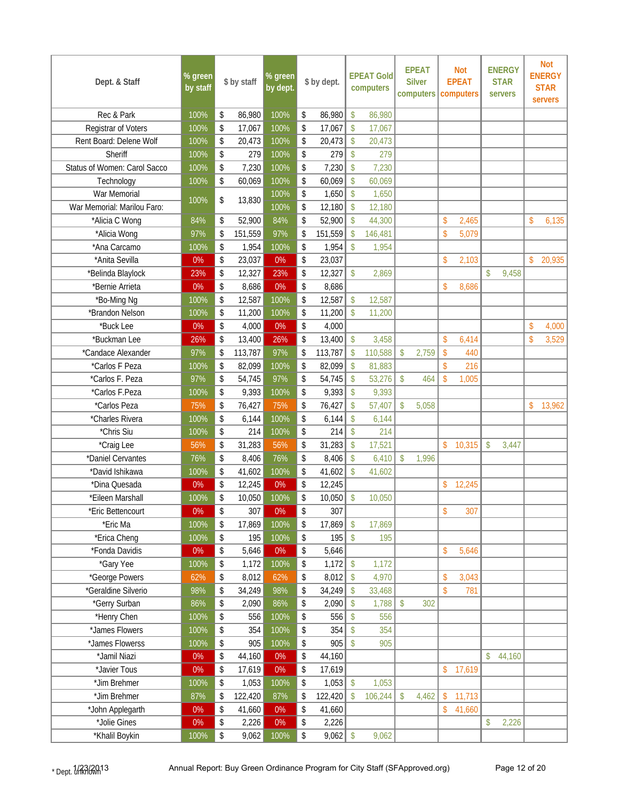| Dept. & Staff                        | % green<br>by staff | \$ by staff                  | % green<br>by dept. |          | \$ by dept.      |                                 | <b>EPEAT Gold</b><br>computers |                           | <b>EPEAT</b><br><b>Silver</b><br>computers |                    | <b>Not</b><br><b>EPEAT</b><br>computers |                    | <b>ENERGY</b><br><b>STAR</b><br><b>servers</b> |               | <b>Not</b><br><b>ENERGY</b><br><b>STAR</b><br>servers |
|--------------------------------------|---------------------|------------------------------|---------------------|----------|------------------|---------------------------------|--------------------------------|---------------------------|--------------------------------------------|--------------------|-----------------------------------------|--------------------|------------------------------------------------|---------------|-------------------------------------------------------|
| Rec & Park                           | 100%                | \$<br>86,980                 | 100%                | \$       | 86,980           | \$                              | 86,980                         |                           |                                            |                    |                                         |                    |                                                |               |                                                       |
| Registrar of Voters                  | 100%                | \$<br>17,067                 | 100%                | \$       | 17,067           | \$                              | 17,067                         |                           |                                            |                    |                                         |                    |                                                |               |                                                       |
| Rent Board: Delene Wolf              | 100%                | \$<br>20,473                 | 100%                | \$       | 20,473           | $\mathsf{\$}$                   | 20,473                         |                           |                                            |                    |                                         |                    |                                                |               |                                                       |
| Sheriff                              | 100%                | \$<br>279                    | 100%                | \$       | 279              | \$                              | 279                            |                           |                                            |                    |                                         |                    |                                                |               |                                                       |
| Status of Women: Carol Sacco         | 100%                | \$<br>7,230                  | 100%                | \$       | 7,230            | $\mathsf{\$}$                   | 7,230                          |                           |                                            |                    |                                         |                    |                                                |               |                                                       |
| Technology                           | 100%                | \$<br>60,069                 | 100%                | \$       | 60,069           | $\mathsf{\$}$                   | 60,069                         |                           |                                            |                    |                                         |                    |                                                |               |                                                       |
| War Memorial                         | 100%                | \$<br>13,830                 | 100%                | \$       | 1,650            | $\boldsymbol{\hat{\mathsf{S}}}$ | 1,650                          |                           |                                            |                    |                                         |                    |                                                |               |                                                       |
| War Memorial: Marilou Faro:          |                     |                              | 100%                | \$       | 12,180           | $\mathsf{\$}$                   | 12,180                         |                           |                                            |                    |                                         |                    |                                                |               |                                                       |
| *Alicia C Wong                       | 84%                 | \$<br>52,900                 | 84%                 | \$       | 52,900           | \$                              | 44,300                         |                           |                                            | $\mathsf{\$}$      | 2,465                                   |                    |                                                | $\mathsf{\$}$ | 6,135                                                 |
| *Alicia Wong                         | 97%                 | \$<br>151,559                | 97%                 | \$       | 151,559          | $\mathbf{\hat{S}}$              | 146,481                        |                           |                                            | $\mathsf{\$}$      | 5,079                                   |                    |                                                |               |                                                       |
| *Ana Carcamo                         | 100%                | \$<br>1,954                  | 100%                | \$       | 1,954            | \$                              | 1,954                          |                           |                                            |                    |                                         |                    |                                                |               |                                                       |
| *Anita Sevilla                       | $0\%$               | \$<br>23,037                 | 0%                  | \$       | 23,037           |                                 |                                |                           |                                            | \$                 | 2,103                                   |                    |                                                | \$            | 20,935                                                |
| *Belinda Blaylock                    | 23%                 | \$<br>12,327                 | 23%                 | \$       | 12,327           | \$                              | 2,869                          |                           |                                            |                    |                                         | $\mathbf{\hat{S}}$ | 9,458                                          |               |                                                       |
| *Bernie Arrieta                      | $0\%$               | \$<br>8,686                  | 0%                  | \$       | 8,686            |                                 |                                |                           |                                            | $\mathsf{\$}$      | 8,686                                   |                    |                                                |               |                                                       |
| *Bo-Ming Ng                          | 100%                | \$<br>12,587                 | 100%                | \$       | 12,587           | $\mathsf{\$}$                   | 12,587                         |                           |                                            |                    |                                         |                    |                                                |               |                                                       |
| *Brandon Nelson                      | 100%                | \$<br>11,200                 | 100%                | \$       | 11,200           | $\mathsf{\$}$                   | 11,200                         |                           |                                            |                    |                                         |                    |                                                |               |                                                       |
| *Buck Lee                            | 0%                  | \$<br>4,000                  | 0%                  | \$       | 4,000            |                                 |                                |                           |                                            |                    |                                         |                    |                                                | \$            | 4,000                                                 |
| *Buckman Lee                         | 26%                 | \$<br>13,400                 | 26%                 | \$       | 13,400           | $\boldsymbol{\mathsf{S}}$       | 3,458                          |                           |                                            | \$                 | 6,414                                   |                    |                                                | \$            | 3,529                                                 |
| *Candace Alexander                   | 97%                 | \$<br>113,787                | 97%                 | \$       | 113,787          | \$                              | 110,588                        | $\mathsf{\$}$             | 2,759                                      | \$                 | 440                                     |                    |                                                |               |                                                       |
| *Carlos F Peza                       | 100%                | \$<br>82,099                 | 100%                | \$       | 82,099           | \$                              | 81,883                         |                           |                                            | $\mathbf{\hat{S}}$ | 216                                     |                    |                                                |               |                                                       |
| *Carlos F. Peza                      | 97%                 | \$<br>54,745                 | 97%                 | \$       | 54,745           | $\mathsf{\$}$                   | 53,276                         | \$                        | 464                                        | \$                 | 1,005                                   |                    |                                                |               |                                                       |
| *Carlos F.Peza                       | 100%                | \$<br>9,393                  | 100%                | \$       | 9,393            | $\mathsf{\$}$                   | 9,393                          |                           |                                            |                    |                                         |                    |                                                |               |                                                       |
| *Carlos Peza                         | 75%                 | \$<br>76,427                 | 75%                 | \$       | 76,427           | $\mathsf{\$}$                   | 57,407                         | $\mathsf{\$}$             | 5,058                                      |                    |                                         |                    |                                                | \$            | 13,962                                                |
| *Charles Rivera                      | 100%                | \$<br>6,144                  | 100%                | \$       | 6,144            | \$                              | 6,144                          |                           |                                            |                    |                                         |                    |                                                |               |                                                       |
| *Chris Siu                           | 100%                | \$<br>214                    | 100%                | \$       | 214              | \$                              | 214                            |                           |                                            |                    |                                         |                    |                                                |               |                                                       |
| *Craig Lee                           | 56%                 | \$<br>31,283                 | 56%                 | \$       | 31,283           | \$                              | 17,521                         |                           |                                            | $\mathsf{\$}$      | 10,315                                  | $\mathsf{\$}$      | 3,447                                          |               |                                                       |
| *Daniel Cervantes<br>*David Ishikawa | 76%                 | \$<br>8,406                  | 76%                 | \$       | 8,406            | \$                              | 6,410                          | $\mathsf{\$}$             | 1,996                                      |                    |                                         |                    |                                                |               |                                                       |
| *Dina Quesada                        | 100%<br>0%          | \$<br>41,602<br>\$<br>12,245 | 100%<br>0%          | \$<br>\$ | 41,602<br>12,245 | $\boldsymbol{\mathsf{S}}$       | 41,602                         |                           |                                            | \$                 |                                         |                    |                                                |               |                                                       |
| *Eileen Marshall                     | 100%                | \$<br>10,050                 | 100%                | \$       | 10,050           | \$                              | 10,050                         |                           |                                            |                    | 12,245                                  |                    |                                                |               |                                                       |
| 'Eric Bettencourt                    | $0\%$               | \$<br>307                    | $0\%$               | \$       | 307              |                                 |                                |                           |                                            | \$                 | 307                                     |                    |                                                |               |                                                       |
| *Eric Ma                             | 100%                | \$<br>17,869                 | 100%                | \$       | 17,869           | $\mathsf{\$}$                   | 17,869                         |                           |                                            |                    |                                         |                    |                                                |               |                                                       |
| *Erica Cheng                         | 100%                | 195<br>\$                    | 100%                | \$       | 195              | $\sqrt$                         | 195                            |                           |                                            |                    |                                         |                    |                                                |               |                                                       |
| *Fonda Davidis                       | 0%                  | \$<br>5,646                  | 0%                  | \$       | 5,646            |                                 |                                |                           |                                            | \$                 | 5,646                                   |                    |                                                |               |                                                       |
| *Gary Yee                            | 100%                | \$<br>1,172                  | 100%                | \$       | 1,172            | $\mathsf{\$}$                   | 1,172                          |                           |                                            |                    |                                         |                    |                                                |               |                                                       |
| *George Powers                       | 62%                 | 8,012<br>\$                  | 62%                 | \$       | 8,012            | $\boldsymbol{\mathsf{S}}$       | 4,970                          |                           |                                            | \$                 | 3,043                                   |                    |                                                |               |                                                       |
| *Geraldine Silverio                  | 98%                 | \$<br>34,249                 | 98%                 | \$       | 34,249           | $\boldsymbol{\mathsf{S}}$       | 33,468                         |                           |                                            | $\mathsf{\$}$      | 781                                     |                    |                                                |               |                                                       |
| *Gerry Surban                        | 86%                 | \$<br>2,090                  | 86%                 | \$       | 2,090            | $\mathsf{\$}$                   | 1,788                          | $\boldsymbol{\mathsf{S}}$ | 302                                        |                    |                                         |                    |                                                |               |                                                       |
| *Henry Chen                          | 100%                | \$<br>556                    | 100%                | \$       | 556              | $\mathsf{\$}$                   | 556                            |                           |                                            |                    |                                         |                    |                                                |               |                                                       |
| *James Flowers                       | 100%                | \$<br>354                    | 100%                | \$       | 354              | \$                              | 354                            |                           |                                            |                    |                                         |                    |                                                |               |                                                       |
| *James Flowerss                      | 100%                | \$<br>905                    | 100%                | \$       | 905              | $\boldsymbol{\mathsf{S}}$       | 905                            |                           |                                            |                    |                                         |                    |                                                |               |                                                       |
| *Jamil Niazi                         | 0%                  | \$<br>44,160                 | 0%                  | \$       | 44,160           |                                 |                                |                           |                                            |                    |                                         | $\mathsf{\$}$      | 44,160                                         |               |                                                       |
| *Javier Tous                         | $0\%$               | \$<br>17,619                 | $0\%$               | \$       | 17,619           |                                 |                                |                           |                                            | $\sqrt{\ }$        | 17,619                                  |                    |                                                |               |                                                       |
| *Jim Brehmer                         | 100%                | \$<br>1,053                  | 100%                | \$       | 1,053            | \$                              | 1,053                          |                           |                                            |                    |                                         |                    |                                                |               |                                                       |
| *Jim Brehmer                         | 87%                 | 122,420<br>\$                | 87%                 | \$       | 122,420          | $\boldsymbol{\mathsf{S}}$       | 106,244                        | $\mathsf{\$}$             | 4,462                                      | \$                 | 11,713                                  |                    |                                                |               |                                                       |
| *John Applegarth                     | $0\%$               | \$<br>41,660                 | 0%                  | \$       | 41,660           |                                 |                                |                           |                                            | \$                 | 41,660                                  |                    |                                                |               |                                                       |
| *Jolie Gines                         | $0\%$               | \$<br>2,226                  | 0%                  | \$       | 2,226            |                                 |                                |                           |                                            |                    |                                         | \$                 | 2,226                                          |               |                                                       |
| *Khalil Boykin                       | 100%                | \$<br>9,062                  | 100%                | \$       | 9,062            | $\sqrt[6]{\frac{1}{2}}$         | 9,062                          |                           |                                            |                    |                                         |                    |                                                |               |                                                       |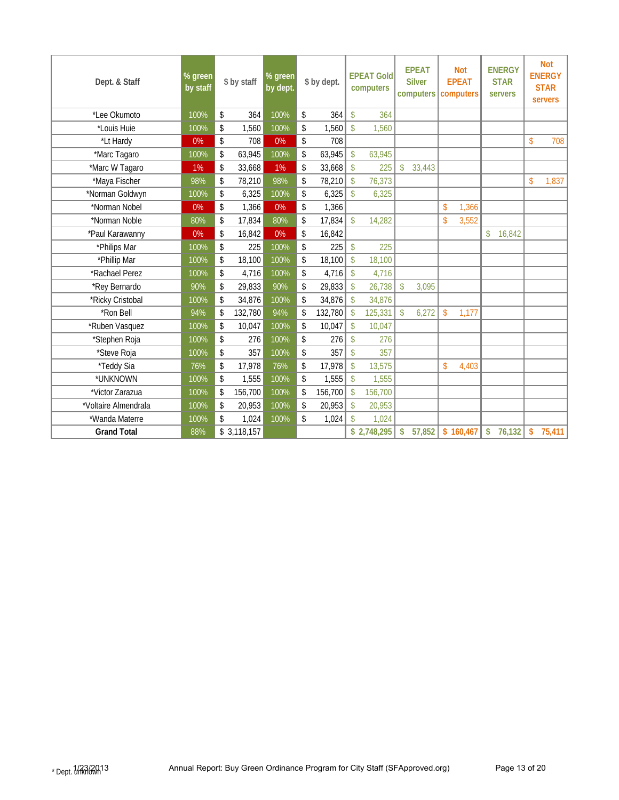| Dept. & Staff        | $%$ green<br>by staff | \$ by staff            | $%$ green<br>by dept. | \$ by dept.   | <b>EPEAT Gold</b><br>computers | <b>EPEAT</b><br><b>Silver</b><br>computers | <b>Not</b><br><b>EPEAT</b><br>computers | <b>ENERGY</b><br><b>STAR</b><br><b>servers</b> | <b>Not</b><br><b>ENERGY</b><br><b>STAR</b><br>servers |
|----------------------|-----------------------|------------------------|-----------------------|---------------|--------------------------------|--------------------------------------------|-----------------------------------------|------------------------------------------------|-------------------------------------------------------|
| *Lee Okumoto         | 100%                  | \$<br>364              | 100%                  | 364<br>\$     | $\mathsf{\$}$<br>364           |                                            |                                         |                                                |                                                       |
| *Louis Huie          | 100%                  | \$<br>1,560            | 100%                  | \$<br>1,560   | $\mathbf{\hat{S}}$<br>1.560    |                                            |                                         |                                                |                                                       |
| *Lt Hardy            | 0%                    | \$<br>708              | 0%                    | \$<br>708     |                                |                                            |                                         |                                                | 708<br>\$                                             |
| *Marc Tagaro         | 100%                  | \$<br>63,945           | 100%                  | \$<br>63,945  | $\mathsf{\$}$<br>63,945        |                                            |                                         |                                                |                                                       |
| *Marc W Tagaro       | 1%                    | \$<br>33,668           | 1%                    | 33,668<br>\$  | 225<br>\$                      | 33,443<br>$\mathsf{\$}$                    |                                         |                                                |                                                       |
| *Maya Fischer        | 98%                   | \$<br>78,210           | 98%                   | \$<br>78,210  | 76,373<br>$\mathsf{\$}$        |                                            |                                         |                                                | \$<br>1,837                                           |
| *Norman Goldwyn      | 100%                  | \$<br>6,325            | 100%                  | 6,325<br>\$   | $\hat{\mathbf{S}}$<br>6,325    |                                            |                                         |                                                |                                                       |
| *Norman Nobel        | 0%                    | $\mathsf{\$}$<br>1,366 | 0%                    | 1,366<br>\$   |                                |                                            | \$<br>1,366                             |                                                |                                                       |
| *Norman Noble        | 80%                   | \$<br>17,834           | 80%                   | \$<br>17,834  | 14,282<br>\$                   |                                            | 3,552<br>$\mathsf{\$}$                  |                                                |                                                       |
| *Paul Karawanny      | 0%                    | \$<br>16,842           | 0%                    | 16,842<br>\$  |                                |                                            |                                         | 16,842<br>$\mathsf{\$}$                        |                                                       |
| *Philips Mar         | 100%                  | \$<br>225              | 100%                  | \$<br>225     | 225<br>$\mathbf{\hat{S}}$      |                                            |                                         |                                                |                                                       |
| *Phillip Mar         | 100%                  | \$<br>18,100           | 100%                  | 18,100<br>\$  | 18,100<br>\$                   |                                            |                                         |                                                |                                                       |
| *Rachael Perez       | 100%                  | \$<br>4,716            | 100%                  | \$<br>4,716   | 4,716<br>\$                    |                                            |                                         |                                                |                                                       |
| *Rey Bernardo        | 90%                   | \$<br>29,833           | 90%                   | \$<br>29,833  | $\mathsf{\$}$<br>26,738        | \$<br>3,095                                |                                         |                                                |                                                       |
| *Ricky Cristobal     | 100%                  | \$<br>34,876           | 100%                  | \$<br>34,876  | 34,876<br>$\mathcal{S}$        |                                            |                                         |                                                |                                                       |
| *Ron Bell            | 94%                   | \$<br>132,780          | 94%                   | 132,780<br>\$ | 125,331<br>$\mathcal{S}$       | $\mathsf{\$}$<br>6,272                     | $\mathsf{\$}$<br>1,177                  |                                                |                                                       |
| *Ruben Vasquez       | 100%                  | \$<br>10,047           | 100%                  | \$<br>10,047  | 10,047<br>$\mathbf{\hat{S}}$   |                                            |                                         |                                                |                                                       |
| *Stephen Roja        | 100%                  | \$<br>276              | 100%                  | \$<br>276     | \$<br>276                      |                                            |                                         |                                                |                                                       |
| *Steve Roja          | 100%                  | 357<br>\$              | 100%                  | 357<br>\$     | 357<br>\$                      |                                            |                                         |                                                |                                                       |
| *Teddy Sia           | 76%                   | \$<br>17,978           | 76%                   | 17,978<br>\$  | 13,575<br>\$                   |                                            | 4,403<br>\$                             |                                                |                                                       |
| *UNKNOWN             | 100%                  | 1,555<br>\$            | 100%                  | \$<br>1,555   | 1,555<br>$\mathbf{\hat{S}}$    |                                            |                                         |                                                |                                                       |
| *Victor Zarazua      | 100%                  | \$<br>156,700          | 100%                  | \$<br>156,700 | 156,700<br>$\mathcal{S}$       |                                            |                                         |                                                |                                                       |
| *Voltaire Almendrala | 100%                  | \$<br>20,953           | 100%                  | \$<br>20,953  | 20,953<br>\$                   |                                            |                                         |                                                |                                                       |
| *Wanda Materre       | 100%                  | 1,024<br>\$            | 100%                  | \$<br>1,024   | 1,024<br>\$                    |                                            |                                         |                                                |                                                       |
| <b>Grand Total</b>   | 88%                   | \$3,118,157            |                       |               | \$2,748,295                    | 57,852<br>\$                               | \$160,467                               | \$<br>76,132                                   | \$<br>75,411                                          |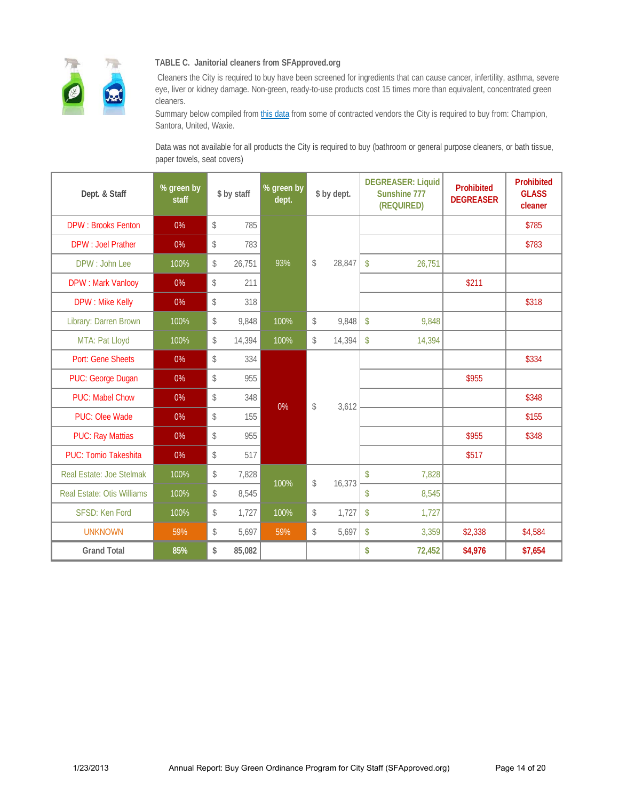

#### **TABLE C. Janitorial cleaners from SFApproved.org**

 Cleaners the City is required to buy have been screened for ingredients that can cause cancer, infertility, asthma, severe eye, liver or kidney damage. Non-green, ready-to-use products cost 15 times more than equivalent, concentrated green cleaners.

Summary below compiled from this data from some of contracted vendors the City is required to buy from: Champion, Santora, United, Waxie.

Data was not available for all products the City is required to buy (bathroom or general purpose cleaners, or bath tissue, paper towels, seat covers)

| Dept. & Staff                     | % green by<br>staff | \$ by staff  | % green by<br>dept. | \$ by dept.    |        | <b>DEGREASER: Liquid</b><br>Sunshine 777<br>(REQUIRED) |        | Prohibited<br><b>DEGREASER</b> | Prohibited<br><b>GLASS</b><br>cleaner |
|-----------------------------------|---------------------|--------------|---------------------|----------------|--------|--------------------------------------------------------|--------|--------------------------------|---------------------------------------|
| <b>DPW: Brooks Fenton</b>         | 0%                  | \$<br>785    |                     |                |        |                                                        |        |                                | \$785                                 |
| <b>DPW: Joel Prather</b>          | 0%                  | \$<br>783    |                     |                |        |                                                        |        |                                | \$783                                 |
| DPW: John Lee                     | 100%                | \$<br>26,751 | 93%                 | $$\mathbb{S}$$ | 28,847 | $\mathsf{\$}$                                          | 26,751 |                                |                                       |
| <b>DPW: Mark Vanlooy</b>          | 0%                  | \$<br>211    |                     |                |        |                                                        |        | \$211                          |                                       |
| <b>DPW: Mike Kelly</b>            | 0%                  | \$<br>318    |                     |                |        |                                                        |        |                                | \$318                                 |
| Library: Darren Brown             | 100%                | \$<br>9,848  | 100%                | $$\mathbb{S}$$ | 9,848  | $\boldsymbol{\mathsf{S}}$                              | 9.848  |                                |                                       |
| MTA: Pat Lloyd                    | 100%                | \$<br>14,394 | 100%                | \$             | 14,394 | $\mathsf{\$}$                                          | 14,394 |                                |                                       |
| Port: Gene Sheets                 | 0%                  | \$<br>334    |                     |                |        |                                                        |        |                                | \$334                                 |
| PUC: George Dugan                 | 0%                  | \$<br>955    |                     |                |        |                                                        |        | \$955                          |                                       |
| <b>PUC: Mabel Chow</b>            | 0%                  | \$<br>348    | 0%                  | \$             | 3,612  |                                                        |        |                                | \$348                                 |
| PUC: Olee Wade                    | 0%                  | \$<br>155    |                     |                |        |                                                        |        |                                | \$155                                 |
| <b>PUC: Ray Mattias</b>           | 0%                  | \$<br>955    |                     |                |        |                                                        |        | \$955                          | \$348                                 |
| <b>PUC: Tomio Takeshita</b>       | 0%                  | \$<br>517    |                     |                |        |                                                        |        | \$517                          |                                       |
| Real Estate: Joe Stelmak          | 100%                | \$<br>7,828  | 100%                | \$             | 16,373 | $\sqrt[6]{\frac{1}{2}}$                                | 7,828  |                                |                                       |
| <b>Real Estate: Otis Williams</b> | 100%                | \$<br>8,545  |                     |                |        | \$                                                     | 8,545  |                                |                                       |
| SFSD: Ken Ford                    | 100%                | \$<br>1,727  | 100%                | $$\mathbb{S}$$ | 1,727  | $\mathsf{\$}$                                          | 1,727  |                                |                                       |
| <b>UNKNOWN</b>                    | 59%                 | \$<br>5,697  | 59%                 | \$             | 5,697  | $\sqrt[6]{\frac{1}{2}}$                                | 3,359  | \$2,338                        | \$4,584                               |
| <b>Grand Total</b>                | 85%                 | \$<br>85,082 |                     |                |        | \$                                                     | 72,452 | \$4,976                        | \$7,654                               |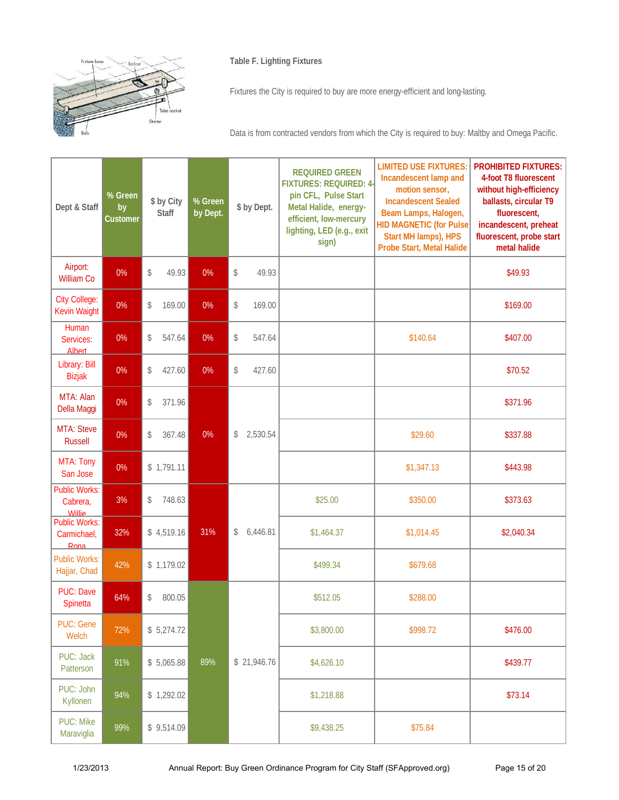

#### **Table F. Lighting Fixtures**

Fixtures the City is required to buy are more energy-efficient and long-lasting.

Data is from contracted vendors from which the City is required to buy: Maltby and Omega Pacific.

| Dept & Staff                                      | % Green<br>by<br>Customer | \$ by City<br><b>Staff</b> | % Green<br>by Dept. | \$ by Dept.               | <b>REQUIRED GREEN</b><br><b>FIXTURES: REQUIRED: 4-</b><br>pin CFL, Pulse Start<br>Metal Halide, energy-<br>efficient, low-mercury<br>lighting, LED (e.g., exit<br>sign) | <b>LIMITED USE FIXTURES:</b><br>Incandescent lamp and<br>motion sensor,<br><b>Incandescent Sealed</b><br>Beam Lamps, Halogen,<br><b>HID MAGNETIC (for Pulse)</b><br>Start MH lamps), HPS<br>Probe Start, Metal Halide | <b>PROHIBITED FIXTURES:</b><br>4-foot T8 fluorescent<br>without high-efficiency<br>ballasts, circular T9<br>fluorescent,<br>incandescent, preheat<br>fluorescent, probe start<br>metal halide |
|---------------------------------------------------|---------------------------|----------------------------|---------------------|---------------------------|-------------------------------------------------------------------------------------------------------------------------------------------------------------------------|-----------------------------------------------------------------------------------------------------------------------------------------------------------------------------------------------------------------------|-----------------------------------------------------------------------------------------------------------------------------------------------------------------------------------------------|
| Airport:<br><b>William Co</b>                     | 0%                        | \$<br>49.93                | 0%                  | \$<br>49.93               |                                                                                                                                                                         |                                                                                                                                                                                                                       | \$49.93                                                                                                                                                                                       |
| <b>City College:</b><br><b>Kevin Waight</b>       | 0%                        | \$<br>169.00               | 0%                  | \$<br>169.00              |                                                                                                                                                                         |                                                                                                                                                                                                                       | \$169.00                                                                                                                                                                                      |
| Human<br>Services:<br><b>Albert</b>               | 0%                        | 547.64<br>\$               | 0%                  | \$<br>547.64              |                                                                                                                                                                         | \$140.64                                                                                                                                                                                                              | \$407.00                                                                                                                                                                                      |
| Library: Bill<br><b>Bizjak</b>                    | 0%                        | \$<br>427.60               | 0%                  | \$<br>427.60              |                                                                                                                                                                         |                                                                                                                                                                                                                       | \$70.52                                                                                                                                                                                       |
| MTA: Alan<br>Della Maggi                          | 0%                        | \$<br>371.96               |                     |                           |                                                                                                                                                                         |                                                                                                                                                                                                                       | \$371.96                                                                                                                                                                                      |
| MTA: Steve<br><b>Russell</b>                      | 0%                        | \$<br>367.48               | 0%                  | 2,530.54<br>$\mathcal{L}$ |                                                                                                                                                                         | \$29.60                                                                                                                                                                                                               | \$337.88                                                                                                                                                                                      |
| MTA: Tony<br>San Jose                             | 0%                        | \$1,791.11                 |                     |                           |                                                                                                                                                                         | \$1,347.13                                                                                                                                                                                                            | \$443.98                                                                                                                                                                                      |
| <b>Public Works:</b><br>Cabrera,<br><b>Willie</b> | 3%                        | \$<br>748.63               |                     |                           | \$25.00                                                                                                                                                                 | \$350.00                                                                                                                                                                                                              | \$373.63                                                                                                                                                                                      |
| <b>Public Works:</b><br>Carmichael,<br>Rona       | 32%                       | \$4,519.16                 | 31%                 | $\mathcal{L}$<br>6,446.81 | \$1,464.37                                                                                                                                                              | \$1,014.45                                                                                                                                                                                                            | \$2,040.34                                                                                                                                                                                    |
| <b>Public Works:</b><br>Hajjar, Chad              | 42%                       | \$1,179.02                 |                     |                           | \$499.34                                                                                                                                                                | \$679.68                                                                                                                                                                                                              |                                                                                                                                                                                               |
| <b>PUC: Dave</b><br>Spinetta                      | 64%                       | \$<br>800.05               |                     |                           | \$512.05                                                                                                                                                                | \$288.00                                                                                                                                                                                                              |                                                                                                                                                                                               |
| <b>PUC: Gene</b><br>Welch                         | 72%                       | \$5,274.72                 |                     |                           | \$3,800.00                                                                                                                                                              | \$998.72                                                                                                                                                                                                              | \$476.00                                                                                                                                                                                      |
| PUC: Jack<br>Patterson                            | 91%                       | \$5,065.88                 | 89%                 | \$21,946.76               | \$4,626.10                                                                                                                                                              |                                                                                                                                                                                                                       | \$439.77                                                                                                                                                                                      |
| PUC: John<br>Kyllonen                             | 94%                       | \$1,292.02                 |                     |                           | \$1,218.88                                                                                                                                                              |                                                                                                                                                                                                                       | \$73.14                                                                                                                                                                                       |
| <b>PUC: Mike</b><br>Maraviglia                    | 99%                       | \$9,514.09                 |                     |                           | \$9,438.25                                                                                                                                                              | \$75.84                                                                                                                                                                                                               |                                                                                                                                                                                               |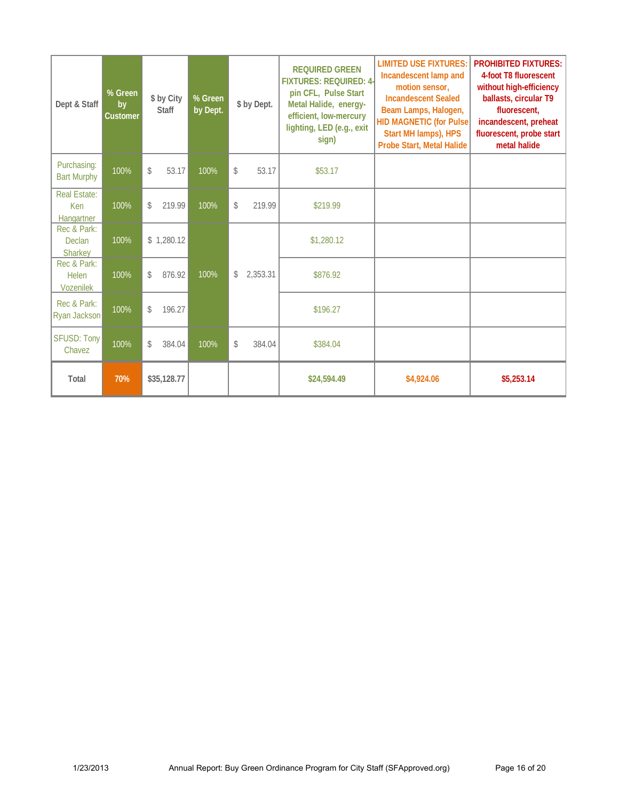| Dept & Staff                             | % Green<br>by<br><b>Customer</b> | \$ by City<br><b>Staff</b> | % Green<br>by Dept. | \$ by Dept.              | <b>REQUIRED GREEN</b><br><b>FIXTURES: REQUIRED: 4-</b><br>pin CFL, Pulse Start<br>Metal Halide, energy-<br>efficient, low-mercury<br>lighting, LED (e.g., exit<br>sign) | <b>LIMITED USE FIXTURES:</b><br>Incandescent lamp and<br>motion sensor,<br><b>Incandescent Sealed</b><br>Beam Lamps, Halogen,<br><b>HID MAGNETIC (for Pulse)</b><br>Start MH lamps), HPS<br>Probe Start, Metal Halide | <b>PROHIBITED FIXTURES:</b><br>4-foot T8 fluorescent<br>without high-efficiency<br>ballasts, circular T9<br>fluorescent,<br>incandescent, preheat<br>fluorescent, probe start<br>metal halide |
|------------------------------------------|----------------------------------|----------------------------|---------------------|--------------------------|-------------------------------------------------------------------------------------------------------------------------------------------------------------------------|-----------------------------------------------------------------------------------------------------------------------------------------------------------------------------------------------------------------------|-----------------------------------------------------------------------------------------------------------------------------------------------------------------------------------------------|
| Purchasing:<br><b>Bart Murphy</b>        | 100%                             | \$<br>53.17                | 100%                | $\mathcal{Z}$<br>53.17   | \$53.17                                                                                                                                                                 |                                                                                                                                                                                                                       |                                                                                                                                                                                               |
| Real Estate:<br>Ken<br>Hangartner        | 100%                             | \$<br>219.99               | 100%                | \$<br>219.99             | \$219.99                                                                                                                                                                |                                                                                                                                                                                                                       |                                                                                                                                                                                               |
| Rec & Park:<br><b>Declan</b><br>Sharkey  | 100%                             | \$1,280.12                 |                     |                          | \$1,280.12                                                                                                                                                              |                                                                                                                                                                                                                       |                                                                                                                                                                                               |
| Rec & Park:<br>Helen<br><b>Vozenilek</b> | 100%                             | 876.92<br>\$               | 100%                | $\mathbb{S}$<br>2.353.31 | \$876.92                                                                                                                                                                |                                                                                                                                                                                                                       |                                                                                                                                                                                               |
| Rec & Park:<br>Ryan Jackson              | 100%                             | 196.27<br>\$               |                     |                          | \$196.27                                                                                                                                                                |                                                                                                                                                                                                                       |                                                                                                                                                                                               |
| <b>SFUSD: Tony</b><br>Chavez             | 100%                             | 384.04<br>\$               | 100%                | 384.04<br>\$             | \$384.04                                                                                                                                                                |                                                                                                                                                                                                                       |                                                                                                                                                                                               |
| Total                                    | 70%                              | \$35,128.77                |                     |                          | \$24,594.49                                                                                                                                                             | \$4,924.06                                                                                                                                                                                                            | \$5,253.14                                                                                                                                                                                    |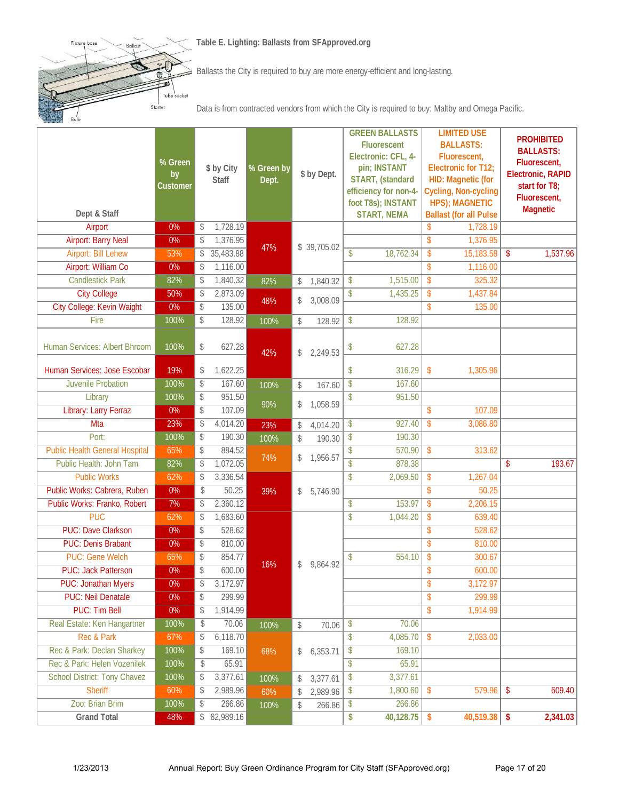**Table E. Lighting: Ballasts from SFApproved.org**



Fixtur

illast

Tub cke

Starter

Data is from contracted vendors from which the City is required to buy: Maltby and Omega Pacific.

| Dept & Staff                          | % Green<br>by<br>Customer |                 | \$ by City<br><b>Staff</b> | % Green by<br>Dept. | \$ by Dept.    |                          | <b>GREEN BALLASTS</b><br><b>Fluorescent</b><br>Electronic: CFL, 4-<br>pin; INSTANT<br>START, (standard<br>efficiency for non-4-<br>foot T8s); INSTANT<br><b>START, NEMA</b> |                           | <b>LIMITED USE</b><br><b>BALLASTS:</b><br>Fluorescent,<br>Electronic for T12;<br>HID: Magnetic (for<br>Cycling, Non-cycling<br><b>HPS); MAGNETIC</b><br><b>Ballast (for all Pulse</b> |    | <b>PROHIBITED</b><br><b>BALLASTS:</b><br>Fluorescent,<br>Electronic, RAPID<br>start for T8;<br>Fluorescent,<br><b>Magnetic</b> |
|---------------------------------------|---------------------------|-----------------|----------------------------|---------------------|----------------|--------------------------|-----------------------------------------------------------------------------------------------------------------------------------------------------------------------------|---------------------------|---------------------------------------------------------------------------------------------------------------------------------------------------------------------------------------|----|--------------------------------------------------------------------------------------------------------------------------------|
| Airport                               | $0\%$                     | \$              | 1,728.19                   |                     |                |                          |                                                                                                                                                                             | \$                        | 1,728.19                                                                                                                                                                              |    |                                                                                                                                |
| <b>Airport: Barry Neal</b>            | 0%                        | \$              | 1,376.95                   | 47%                 | \$39,705.02    |                          |                                                                                                                                                                             | $\mathsf{\$}$             | 1,376.95                                                                                                                                                                              |    |                                                                                                                                |
| <b>Airport: Bill Lehew</b>            | 53%                       |                 | \$35,483.88                |                     |                | $\mathsf{\$}$            | 18,762.34                                                                                                                                                                   | \$                        | 15,183.58                                                                                                                                                                             | \$ | 1,537.96                                                                                                                       |
| <b>Airport: William Co</b>            | 0%                        | \$              | 1,116.00                   |                     |                |                          |                                                                                                                                                                             | $\mathsf{\$}$             | 1,116.00                                                                                                                                                                              |    |                                                                                                                                |
| <b>Candlestick Park</b>               | 82%                       | \$              | 1,840.32                   | 82%                 | \$<br>1,840.32 | \$                       | 1,515.00                                                                                                                                                                    | $\overline{\$}$           | 325.32                                                                                                                                                                                |    |                                                                                                                                |
| <b>City College</b>                   | 50%                       | \$              | 2,873.09                   | 48%                 | \$<br>3,008.09 | \$                       | 1,435.25                                                                                                                                                                    | $\sqrt[6]{\frac{1}{2}}$   | 1,437.84                                                                                                                                                                              |    |                                                                                                                                |
| City College: Kevin Waight            | 0%                        | \$              | 135.00                     |                     |                |                          |                                                                                                                                                                             | $\mathsf{\$}$             | 135.00                                                                                                                                                                                |    |                                                                                                                                |
| Fire                                  | 100%                      | \$              | 128.92                     | 100%                | \$<br>128.92   | \$                       | 128.92                                                                                                                                                                      |                           |                                                                                                                                                                                       |    |                                                                                                                                |
| Human Services: Albert Bhroom         | 100%                      | \$              | 627.28                     | 42%                 | \$<br>2,249.53 | \$                       | 627.28                                                                                                                                                                      |                           |                                                                                                                                                                                       |    |                                                                                                                                |
| Human Services: Jose Escobar          | 19%                       | \$              | 1,622.25                   |                     |                | \$                       | 316.29                                                                                                                                                                      | $\sqrt[6]{\frac{1}{2}}$   | 1,305.96                                                                                                                                                                              |    |                                                                                                                                |
| <b>Juvenile Probation</b>             | 100%                      | \$              | 167.60                     | 100%                | \$<br>167.60   | $\overline{\$}$          | 167.60                                                                                                                                                                      |                           |                                                                                                                                                                                       |    |                                                                                                                                |
| Library                               | 100%                      | \$              | 951.50                     |                     |                | \$                       | 951.50                                                                                                                                                                      |                           |                                                                                                                                                                                       |    |                                                                                                                                |
| Library: Larry Ferraz                 | $0\%$                     | \$              | 107.09                     | 90%                 | \$<br>1,058.59 |                          |                                                                                                                                                                             | $\mathsf{\$}$             | 107.09                                                                                                                                                                                |    |                                                                                                                                |
| Mta                                   | 23%                       | \$              | 4,014.20                   | 23%                 | \$<br>4,014.20 | \$                       | 927.40                                                                                                                                                                      | $\sqrt[6]{}$              | 3,086.80                                                                                                                                                                              |    |                                                                                                                                |
| Port:                                 | 100%                      | \$              | 190.30                     | 100%                | \$<br>190.30   | \$                       | 190.30                                                                                                                                                                      |                           |                                                                                                                                                                                       |    |                                                                                                                                |
| <b>Public Health General Hospital</b> | 65%                       | \$              | 884.52                     | 74%                 | \$<br>1,956.57 | \$                       | 570.90                                                                                                                                                                      | $\sqrt[6]{\frac{1}{2}}$   | 313.62                                                                                                                                                                                |    |                                                                                                                                |
| Public Health: John Tam               | 82%                       | \$              | 1,072.05                   |                     |                | $\overline{\mathcal{S}}$ | 878.38                                                                                                                                                                      |                           |                                                                                                                                                                                       | \$ | 193.67                                                                                                                         |
| <b>Public Works</b>                   | 62%                       | \$              | 3,336.54                   |                     |                | \$                       | 2,069.50                                                                                                                                                                    | $\boldsymbol{\mathsf{S}}$ | 1,267.04                                                                                                                                                                              |    |                                                                                                                                |
| Public Works: Cabrera, Ruben          | $0\%$                     | $\mathcal{L}$   | 50.25                      | 39%                 | \$<br>5,746.90 |                          |                                                                                                                                                                             | \$                        | 50.25                                                                                                                                                                                 |    |                                                                                                                                |
| Public Works: Franko, Robert          | 7%                        | \$              | 2,360.12                   |                     |                | \$                       | 153.97                                                                                                                                                                      | $\sqrt[6]{\frac{1}{2}}$   | 2,206.15                                                                                                                                                                              |    |                                                                                                                                |
| <b>PUC</b>                            | 62%                       | \$              | 1,683.60                   |                     |                | \$                       | 1,044.20                                                                                                                                                                    | $\overline{\$}$           | 639.40                                                                                                                                                                                |    |                                                                                                                                |
| <b>PUC: Dave Clarkson</b>             | 0%                        | \$              | 528.62                     |                     |                |                          |                                                                                                                                                                             | \$                        | 528.62                                                                                                                                                                                |    |                                                                                                                                |
| <b>PUC: Denis Brabant</b>             | $0\%$                     | \$              | 810.00                     |                     |                |                          |                                                                                                                                                                             | $\sqrt[6]{\frac{1}{2}}$   | 810.00                                                                                                                                                                                |    |                                                                                                                                |
| <b>PUC: Gene Welch</b>                | 65%                       | \$              | 854.77                     | 16%                 | \$<br>9,864.92 | \$                       | 554.10                                                                                                                                                                      | $\sqrt[6]{\frac{1}{2}}$   | 300.67                                                                                                                                                                                |    |                                                                                                                                |
| <b>PUC: Jack Patterson</b>            | 0%                        | \$              | 600.00                     |                     |                |                          |                                                                                                                                                                             | \$                        | 600.00                                                                                                                                                                                |    |                                                                                                                                |
| <b>PUC: Jonathan Myers</b>            | $0\%$                     | $\overline{\$}$ | 3,172.97                   |                     |                |                          |                                                                                                                                                                             | \$                        | 3,172.97                                                                                                                                                                              |    |                                                                                                                                |
| <b>PUC: Neil Denatale</b>             | $0\%$                     | \$              | 299.99                     |                     |                |                          |                                                                                                                                                                             | $\overline{\$}$           | 299.99                                                                                                                                                                                |    |                                                                                                                                |
| <b>PUC: Tim Bell</b>                  | $0\%$                     | \$              | 1,914.99                   |                     |                |                          |                                                                                                                                                                             | \$                        | 1,914.99                                                                                                                                                                              |    |                                                                                                                                |
| Real Estate: Ken Hangartner           | 100%                      | \$              | 70.06                      | 100%                | \$<br>70.06    | $\sqrt{2}$               | 70.06                                                                                                                                                                       |                           |                                                                                                                                                                                       |    |                                                                                                                                |
| Rec & Park                            | 67%                       | \$              | 6,118.70                   |                     |                | \$                       | 4,085.70                                                                                                                                                                    | $\sqrt[6]{\frac{1}{2}}$   | 2,033.00                                                                                                                                                                              |    |                                                                                                                                |
| Rec & Park: Declan Sharkey            | 100%                      | \$              | 169.10                     | 68%                 | \$6,353.71     | \$                       | 169.10                                                                                                                                                                      |                           |                                                                                                                                                                                       |    |                                                                                                                                |
| Rec & Park: Helen Vozenilek           | 100%                      | \$              | 65.91                      |                     |                | \$                       | 65.91                                                                                                                                                                       |                           |                                                                                                                                                                                       |    |                                                                                                                                |
| <b>School District: Tony Chavez</b>   | 100%                      | \$              | 3,377.61                   | 100%                | \$<br>3,377.61 | $\sqrt[6]{\frac{1}{2}}$  | 3,377.61                                                                                                                                                                    |                           |                                                                                                                                                                                       |    |                                                                                                                                |
| <b>Sheriff</b>                        | 60%                       | \$              | 2,989.96                   | 60%                 | \$<br>2,989.96 | $\sqrt[6]{\frac{1}{2}}$  | 1,800.60                                                                                                                                                                    | $\sqrt[6]{\frac{1}{2}}$   | 579.96                                                                                                                                                                                | \$ | 609.40                                                                                                                         |
| Zoo: Brian Brim                       | 100%                      | \$              | 266.86                     | 100%                | \$<br>266.86   | \$                       | 266.86                                                                                                                                                                      |                           |                                                                                                                                                                                       |    |                                                                                                                                |
| <b>Grand Total</b>                    | 48%                       |                 | \$82,989.16                |                     |                | \$                       | 40,128.75                                                                                                                                                                   | \$                        | 40,519.38                                                                                                                                                                             | \$ | 2,341.03                                                                                                                       |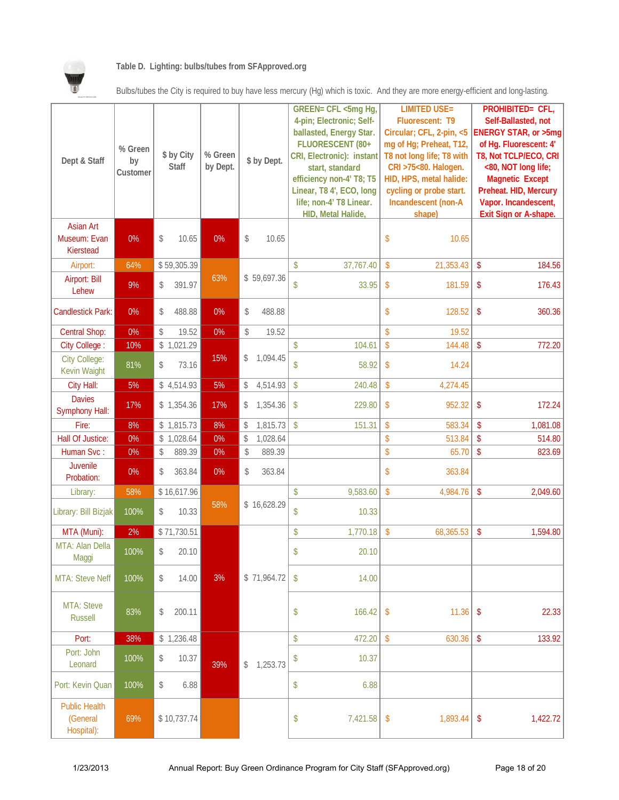

#### **Table D. Lighting: bulbs/tubes from SFApproved.org**

Bulbs/tubes the City is required to buy have less mercury (Hg) which is toxic. And they are more energy-efficient and long-lasting.

| Dept & Staff                                   | % Green<br>by<br>Customer | \$ by City<br>Staff |             | % Green<br>by Dept. | \$ by Dept.    |                           | GREEN= CFL <5mg Hg,<br>4-pin; Electronic; Self-<br>ballasted, Energy Star.<br>FLUORESCENT (80+<br>CRI, Electronic): instant<br>start, standard<br>efficiency non-4' T8; T5<br>Linear, T8 4', ECO, long<br>life; non-4' T8 Linear.<br>HID, Metal Halide, |                         | <b>LIMITED USE=</b><br>Fluorescent: T9<br>Circular; CFL, 2-pin, <5<br>mg of Hg; Preheat, T12,<br>T8 not long life; T8 with<br>CRI >75<80. Halogen.<br>HID, HPS, metal halide:<br>cycling or probe start.<br>Incandescent (non-A<br>shape) |                         | PROHIBITED= CFL,<br>Self-Ballasted, not<br><b>ENERGY STAR, or &gt;5mg</b><br>of Hg. Fluorescent: 4'<br>T8, Not TCLP/ECO, CRI<br><80, NOT long life;<br><b>Magnetic Except</b><br>Preheat. HID, Mercury<br>Vapor. Incandescent,<br><b>Exit Sign or A-shape.</b> |
|------------------------------------------------|---------------------------|---------------------|-------------|---------------------|----------------|---------------------------|---------------------------------------------------------------------------------------------------------------------------------------------------------------------------------------------------------------------------------------------------------|-------------------------|-------------------------------------------------------------------------------------------------------------------------------------------------------------------------------------------------------------------------------------------|-------------------------|----------------------------------------------------------------------------------------------------------------------------------------------------------------------------------------------------------------------------------------------------------------|
| <b>Asian Art</b><br>Museum: Evan<br>Kierstead  | 0%                        | \$                  | 10.65       | 0%                  | \$<br>10.65    |                           |                                                                                                                                                                                                                                                         | \$                      | 10.65                                                                                                                                                                                                                                     |                         |                                                                                                                                                                                                                                                                |
| Airport:                                       | 64%                       |                     | \$59,305.39 |                     |                | \$                        | 37,767.40                                                                                                                                                                                                                                               | \$                      | 21,353.43                                                                                                                                                                                                                                 | $\mathsf{\$}$           | 184.56                                                                                                                                                                                                                                                         |
| Airport: Bill<br>Lehew                         | 9%                        | \$                  | 391.97      | 63%                 | \$59,697.36    | \$                        | 33.95                                                                                                                                                                                                                                                   | \$                      | 181.59                                                                                                                                                                                                                                    | $\sqrt[6]{\frac{1}{2}}$ | 176.43                                                                                                                                                                                                                                                         |
| <b>Candlestick Park:</b>                       | 0%                        | \$                  | 488.88      | 0%                  | \$<br>488.88   |                           |                                                                                                                                                                                                                                                         | \$                      | 128.52                                                                                                                                                                                                                                    | \$                      | 360.36                                                                                                                                                                                                                                                         |
| <b>Central Shop:</b>                           | 0%                        | \$                  | 19.52       | 0%                  | \$<br>19.52    |                           |                                                                                                                                                                                                                                                         | \$                      | 19.52                                                                                                                                                                                                                                     |                         |                                                                                                                                                                                                                                                                |
| City College:                                  | 10%                       |                     | \$1,021.29  |                     |                | $\mathsf{\$}$             | 104.61                                                                                                                                                                                                                                                  | \$                      | 144.48                                                                                                                                                                                                                                    | $\sqrt[6]{\frac{1}{2}}$ | 772.20                                                                                                                                                                                                                                                         |
| <b>City College:</b><br><b>Kevin Waight</b>    | 81%                       | \$                  | 73.16       | 15%                 | \$<br>1,094.45 | \$                        | 58.92                                                                                                                                                                                                                                                   | \$                      | 14.24                                                                                                                                                                                                                                     |                         |                                                                                                                                                                                                                                                                |
| City Hall:                                     | 5%                        |                     | \$4,514.93  | 5%                  | \$<br>4,514.93 | $\boldsymbol{\mathsf{S}}$ | 240.48                                                                                                                                                                                                                                                  | $\sqrt[6]{\frac{1}{2}}$ | 4,274.45                                                                                                                                                                                                                                  |                         |                                                                                                                                                                                                                                                                |
| <b>Davies</b><br><b>Symphony Hall:</b>         | 17%                       |                     | \$1,354.36  | 17%                 | \$<br>1,354.36 | $\mathcal{S}$             | 229.80                                                                                                                                                                                                                                                  | \$                      | 952.32                                                                                                                                                                                                                                    | \$                      | 172.24                                                                                                                                                                                                                                                         |
| Fire:                                          | 8%                        |                     | \$1,815.73  | 8%                  | \$<br>1,815.73 | $\sqrt{2}$                | 151.31                                                                                                                                                                                                                                                  | \$                      | 583.34                                                                                                                                                                                                                                    | $\sqrt[6]{\frac{1}{2}}$ | 1,081.08                                                                                                                                                                                                                                                       |
| Hall Of Justice:                               | 0%                        |                     | \$1,028.64  | 0%                  | \$<br>1,028.64 |                           |                                                                                                                                                                                                                                                         | \$                      | 513.84                                                                                                                                                                                                                                    | $\sqrt[6]{\frac{1}{2}}$ | 514.80                                                                                                                                                                                                                                                         |
| Human Svc:                                     | 0%                        | \$                  | 889.39      | $0\%$               | \$<br>889.39   |                           |                                                                                                                                                                                                                                                         | \$                      | 65.70                                                                                                                                                                                                                                     | $\sqrt[6]{\frac{1}{2}}$ | 823.69                                                                                                                                                                                                                                                         |
| Juvenile<br>Probation:                         | 0%                        | \$                  | 363.84      | 0%                  | \$<br>363.84   |                           |                                                                                                                                                                                                                                                         | \$                      | 363.84                                                                                                                                                                                                                                    |                         |                                                                                                                                                                                                                                                                |
| Library:                                       | 58%                       |                     | \$16,617.96 |                     |                | $\boldsymbol{\mathsf{S}}$ | 9,583.60                                                                                                                                                                                                                                                | $\sqrt[6]{\frac{1}{2}}$ | 4,984.76                                                                                                                                                                                                                                  | \$                      | 2,049.60                                                                                                                                                                                                                                                       |
| Library: Bill Bizjak                           | 100%                      | \$                  | 10.33       | 58%                 | \$16,628.29    | \$                        | 10.33                                                                                                                                                                                                                                                   |                         |                                                                                                                                                                                                                                           |                         |                                                                                                                                                                                                                                                                |
| MTA (Muni):                                    | 2%                        |                     | \$71,730.51 |                     |                | \$                        | 1,770.18                                                                                                                                                                                                                                                | $\sqrt[6]{\frac{1}{2}}$ | 68,365.53                                                                                                                                                                                                                                 | $\sqrt[6]{\frac{1}{2}}$ | 1,594.80                                                                                                                                                                                                                                                       |
| MTA: Alan Della<br>Maggi                       | 100%                      | \$                  | 20.10       |                     |                | \$                        | 20.10                                                                                                                                                                                                                                                   |                         |                                                                                                                                                                                                                                           |                         |                                                                                                                                                                                                                                                                |
| <b>MTA: Steve Neff</b>                         | 100%                      | \$                  | 14.00       | 3%                  | \$71,964.72    | $\boldsymbol{\mathsf{S}}$ | 14.00                                                                                                                                                                                                                                                   |                         |                                                                                                                                                                                                                                           |                         |                                                                                                                                                                                                                                                                |
| MTA: Steve<br><b>Russell</b>                   | 83%                       | \$                  | 200.11      |                     |                | \$                        | 166.42                                                                                                                                                                                                                                                  | \$                      | 11.36                                                                                                                                                                                                                                     | \$                      | 22.33                                                                                                                                                                                                                                                          |
| Port:                                          | 38%                       |                     | \$1,236.48  |                     |                | \$                        | 472.20                                                                                                                                                                                                                                                  | \$                      | 630.36                                                                                                                                                                                                                                    | \$                      | 133.92                                                                                                                                                                                                                                                         |
| Port: John<br>Leonard                          | 100%                      | \$                  | 10.37       | 39%                 | \$1,253.73     | \$                        | 10.37                                                                                                                                                                                                                                                   |                         |                                                                                                                                                                                                                                           |                         |                                                                                                                                                                                                                                                                |
| Port: Kevin Quan                               | 100%                      | \$                  | 6.88        |                     |                | \$                        | 6.88                                                                                                                                                                                                                                                    |                         |                                                                                                                                                                                                                                           |                         |                                                                                                                                                                                                                                                                |
| <b>Public Health</b><br>(General<br>Hospital): | 69%                       |                     | \$10,737.74 |                     |                | \$                        | 7,421.58                                                                                                                                                                                                                                                | \$                      | 1,893.44                                                                                                                                                                                                                                  | \$                      | 1,422.72                                                                                                                                                                                                                                                       |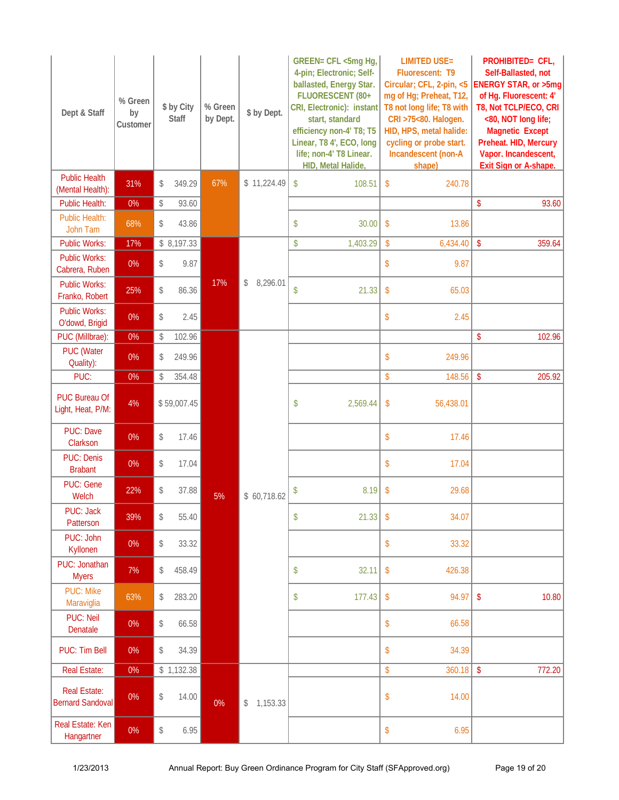| Dept & Staff                                   | % Green<br>by<br>Customer | \$ by City<br>Staff | % Green<br>by Dept. | \$ by Dept.    | GREEN= CFL <5mg Hg,<br>4-pin; Electronic; Self-<br>ballasted, Energy Star.<br>FLUORESCENT (80+<br>CRI, Electronic): instant<br>start, standard<br>efficiency non-4' T8; T5<br>Linear, T8 4', ECO, long<br>life; non-4' T8 Linear.<br>HID, Metal Halide, | <b>LIMITED USE=</b><br>Fluorescent: T9<br>Circular; CFL, 2-pin, <5<br>mg of Hg; Preheat, T12,<br>T8 not long life; T8 with<br>CRI >75<80. Halogen.<br>HID, HPS, metal halide:<br>cycling or probe start.<br>Incandescent (non-A<br>shape) | PROHIBITED= CFL,<br>Self-Ballasted, not<br>ENERGY STAR, or >5mg<br>of Hg. Fluorescent: 4'<br>T8, Not TCLP/ECO, CRI<br><80, NOT long life;<br><b>Magnetic Except</b><br>Preheat. HID, Mercury<br>Vapor. Incandescent,<br><b>Exit Sign or A-shape.</b> |
|------------------------------------------------|---------------------------|---------------------|---------------------|----------------|---------------------------------------------------------------------------------------------------------------------------------------------------------------------------------------------------------------------------------------------------------|-------------------------------------------------------------------------------------------------------------------------------------------------------------------------------------------------------------------------------------------|------------------------------------------------------------------------------------------------------------------------------------------------------------------------------------------------------------------------------------------------------|
| <b>Public Health</b><br>(Mental Health):       | 31%                       | \$<br>349.29        | 67%                 | \$11,224.49    | $\boldsymbol{\mathsf{S}}$<br>108.51                                                                                                                                                                                                                     | $\mathsf{\$}$<br>240.78                                                                                                                                                                                                                   |                                                                                                                                                                                                                                                      |
| Public Health:                                 | $0\%$                     | \$<br>93.60         |                     |                |                                                                                                                                                                                                                                                         |                                                                                                                                                                                                                                           | \$<br>93.60                                                                                                                                                                                                                                          |
| <b>Public Health:</b><br>John Tam              | 68%                       | \$<br>43.86         |                     |                | \$<br>30.00                                                                                                                                                                                                                                             | $\sqrt[6]{\frac{1}{2}}$<br>13.86                                                                                                                                                                                                          |                                                                                                                                                                                                                                                      |
| <b>Public Works:</b>                           | 17%                       | \$8,197.33          |                     |                | \$<br>1,403.29                                                                                                                                                                                                                                          | \$<br>6,434.40                                                                                                                                                                                                                            | $\sqrt[6]{\frac{1}{2}}$<br>359.64                                                                                                                                                                                                                    |
| <b>Public Works:</b><br>Cabrera, Ruben         | 0%                        | \$<br>9.87          |                     |                |                                                                                                                                                                                                                                                         | \$<br>9.87                                                                                                                                                                                                                                |                                                                                                                                                                                                                                                      |
| <b>Public Works:</b><br>Franko, Robert         | 25%                       | \$<br>86.36         | 17%                 | 8,296.01<br>\$ | \$<br>21.33                                                                                                                                                                                                                                             | \$<br>65.03                                                                                                                                                                                                                               |                                                                                                                                                                                                                                                      |
| <b>Public Works:</b><br>O'dowd, Brigid         | 0%                        | \$<br>2.45          |                     |                |                                                                                                                                                                                                                                                         | \$<br>2.45                                                                                                                                                                                                                                |                                                                                                                                                                                                                                                      |
| PUC (Millbrae):                                | $0\%$                     | \$<br>102.96        |                     |                |                                                                                                                                                                                                                                                         |                                                                                                                                                                                                                                           | 102.96<br>\$                                                                                                                                                                                                                                         |
| <b>PUC</b> (Water<br>Quality):                 | 0%                        | \$<br>249.96        |                     |                |                                                                                                                                                                                                                                                         | \$<br>249.96                                                                                                                                                                                                                              |                                                                                                                                                                                                                                                      |
| PUC:                                           | $0\%$                     | \$<br>354.48        |                     |                |                                                                                                                                                                                                                                                         | \$<br>148.56                                                                                                                                                                                                                              | $\sqrt[6]{\frac{1}{2}}$<br>205.92                                                                                                                                                                                                                    |
| <b>PUC Bureau Of</b><br>Light, Heat, P/M:      | 4%                        | \$59,007.45         |                     |                | \$<br>2,569.44                                                                                                                                                                                                                                          | \$<br>56,438.01                                                                                                                                                                                                                           |                                                                                                                                                                                                                                                      |
| <b>PUC: Dave</b><br>Clarkson                   | 0%                        | \$<br>17.46         |                     |                |                                                                                                                                                                                                                                                         | \$<br>17.46                                                                                                                                                                                                                               |                                                                                                                                                                                                                                                      |
| <b>PUC: Denis</b><br><b>Brabant</b>            | 0%                        | \$<br>17.04         |                     |                |                                                                                                                                                                                                                                                         | \$<br>17.04                                                                                                                                                                                                                               |                                                                                                                                                                                                                                                      |
| <b>PUC: Gene</b><br>Welch                      | 22%                       | \$<br>37.88         | 5%                  | \$60,718.62    | 8.19<br>\$                                                                                                                                                                                                                                              | 29.68<br>$\sqrt[6]{\frac{1}{2}}$                                                                                                                                                                                                          |                                                                                                                                                                                                                                                      |
| PUC: Jack<br>Patterson                         | 39%                       | \$<br>55.40         |                     |                | 21.33<br>\$                                                                                                                                                                                                                                             | \$<br>34.07                                                                                                                                                                                                                               |                                                                                                                                                                                                                                                      |
| PUC: John<br>Kyllonen                          | 0%                        | \$<br>33.32         |                     |                |                                                                                                                                                                                                                                                         | \$<br>33.32                                                                                                                                                                                                                               |                                                                                                                                                                                                                                                      |
| PUC: Jonathan<br><b>Myers</b>                  | 7%                        | \$<br>458.49        |                     |                | 32.11<br>\$                                                                                                                                                                                                                                             | \$<br>426.38                                                                                                                                                                                                                              |                                                                                                                                                                                                                                                      |
| <b>PUC: Mike</b><br>Maraviglia                 | 63%                       | \$<br>283.20        |                     |                | \$<br>177.43                                                                                                                                                                                                                                            | 94.97<br>\$                                                                                                                                                                                                                               | $\sqrt[6]{}$<br>10.80                                                                                                                                                                                                                                |
| <b>PUC: Neil</b><br>Denatale                   | 0%                        | \$<br>66.58         |                     |                |                                                                                                                                                                                                                                                         | \$<br>66.58                                                                                                                                                                                                                               |                                                                                                                                                                                                                                                      |
| PUC: Tim Bell                                  | 0%                        | \$<br>34.39         |                     |                |                                                                                                                                                                                                                                                         | \$<br>34.39                                                                                                                                                                                                                               |                                                                                                                                                                                                                                                      |
| <b>Real Estate:</b>                            | $0\%$                     | \$1,132.38          |                     |                |                                                                                                                                                                                                                                                         | \$<br>360.18                                                                                                                                                                                                                              | $\sqrt[6]{\frac{1}{2}}$<br>772.20                                                                                                                                                                                                                    |
| <b>Real Estate:</b><br><b>Bernard Sandoval</b> | $0\%$                     | \$<br>14.00         | $0\%$               | \$1,153.33     |                                                                                                                                                                                                                                                         | \$<br>14.00                                                                                                                                                                                                                               |                                                                                                                                                                                                                                                      |
| Real Estate: Ken<br>Hangartner                 | $0\%$                     | \$<br>6.95          |                     |                |                                                                                                                                                                                                                                                         | 6.95<br>\$                                                                                                                                                                                                                                |                                                                                                                                                                                                                                                      |